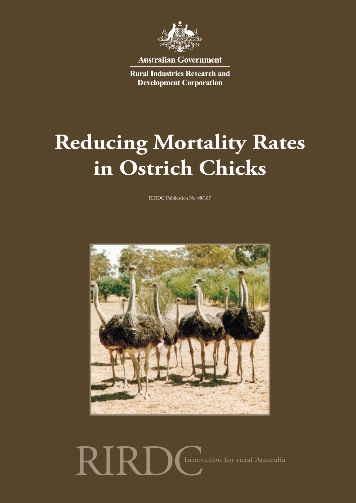

**Australian Government** 

**Rural Industries Research and Development Corporation** 

# **Reducing Mortality Rates in Ostrich Chicks**

RIRDC Publication No. 08/187



RIRDCInnovation for rural Australia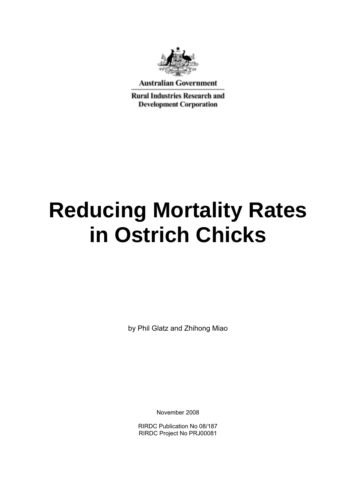

**Australian Government** 

**Rural Industries Research and Development Corporation** 

# **Reducing Mortality Rates in Ostrich Chicks**

by Phil Glatz and Zhihong Miao

November 2008

RIRDC Publication No 08/187 RIRDC Project No PRJ00081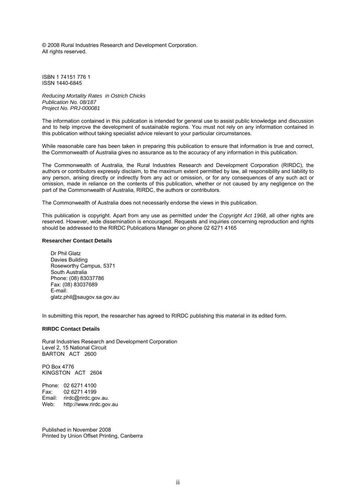© 2008 Rural Industries Research and Development Corporation. All rights reserved.

ISBN 1 74151 776 1 ISSN 1440-6845

*Reducing Mortality Rates in Ostrich Chicks Publication No. 08/187 Project No. PRJ-000081* 

The information contained in this publication is intended for general use to assist public knowledge and discussion and to help improve the development of sustainable regions. You must not rely on any information contained in this publication without taking specialist advice relevant to your particular circumstances.

While reasonable care has been taken in preparing this publication to ensure that information is true and correct, the Commonwealth of Australia gives no assurance as to the accuracy of any information in this publication.

The Commonwealth of Australia, the Rural Industries Research and Development Corporation (RIRDC), the authors or contributors expressly disclaim, to the maximum extent permitted by law, all responsibility and liability to any person, arising directly or indirectly from any act or omission, or for any consequences of any such act or omission, made in reliance on the contents of this publication, whether or not caused by any negligence on the part of the Commonwealth of Australia, RIRDC, the authors or contributors.

The Commonwealth of Australia does not necessarily endorse the views in this publication.

This publication is copyright. Apart from any use as permitted under the *Copyright Act 1968*, all other rights are reserved. However, wide dissemination is encouraged. Requests and inquiries concerning reproduction and rights should be addressed to the RIRDC Publications Manager on phone 02 6271 4165

#### **Researcher Contact Details**

Dr Phil Glatz Davies Building Roseworthy Campus, 5371 South Australia Phone: (08) 83037786 Fax: (08) 83037689 E-mail: glatz.phil@saugov.sa.gov.au

In submitting this report, the researcher has agreed to RIRDC publishing this material in its edited form.

#### **RIRDC Contact Details**

Rural Industries Research and Development Corporation Level 2, 15 National Circuit BARTON ACT 2600

PO Box 4776 KINGSTON ACT 2604

Phone: 02 6271 4100 Fax: 02 6271 4199 Email: rirdc@rirdc.gov.au. Web: http://www.rirdc.gov.au

Published in November 2008 Printed by Union Offset Printing, Canberra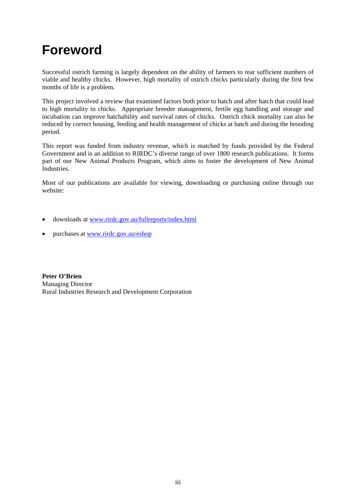# **Foreword**

Successful ostrich farming is largely dependent on the ability of farmers to rear sufficient numbers of viable and healthy chicks. However, high mortality of ostrich chicks particularly during the first few months of life is a problem.

This project involved a review that examined factors both prior to hatch and after hatch that could lead to high mortality in chicks. Appropriate breeder management, fertile egg handling and storage and incubation can improve hatchability and survival rates of chicks. Ostrich chick mortality can also be reduced by correct housing, feeding and health management of chicks at hatch and during the brooding period.

This report was funded from industry revenue, which is matched by funds provided by the Federal Government and is an addition to RIRDC's diverse range of over 1800 research publications. It forms part of our New Animal Products Program, which aims to foster the development of New Animal Industries.

Most of our publications are available for viewing, downloading or purchasing online through our website:

- downloads at www.rirdc.gov.au/fullreports/index.html
- purchases at www.rirdc.gov.au/eshop

**Peter O'Brien**  Managing Director Rural Industries Research and Development Corporation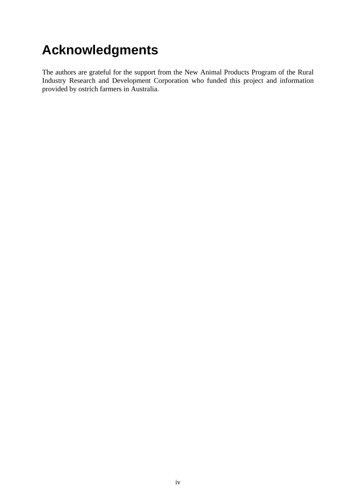# **Acknowledgments**

The authors are grateful for the support from the New Animal Products Program of the Rural Industry Research and Development Corporation who funded this project and information provided by ostrich farmers in Australia.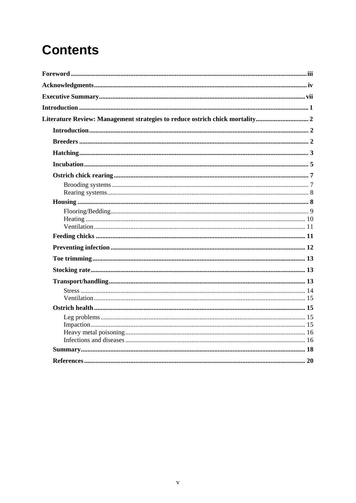# **Contents**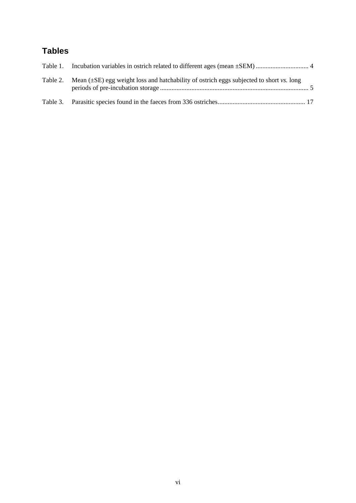# **Tables**

| Table 2. Mean $(\pm SE)$ egg weight loss and hatchability of ostrich eggs subjected to short vs. long |  |
|-------------------------------------------------------------------------------------------------------|--|
|                                                                                                       |  |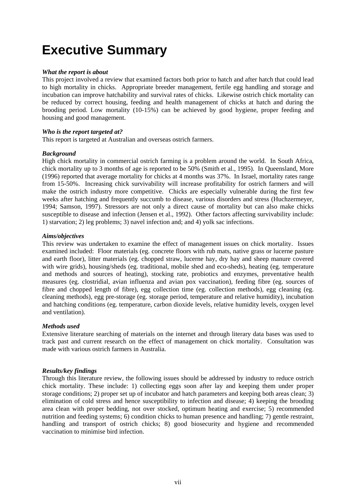# **Executive Summary**

#### *What the report is about*

This project involved a review that examined factors both prior to hatch and after hatch that could lead to high mortality in chicks. Appropriate breeder management, fertile egg handling and storage and incubation can improve hatchability and survival rates of chicks. Likewise ostrich chick mortality can be reduced by correct housing, feeding and health management of chicks at hatch and during the brooding period. Low mortality (10-15%) can be achieved by good hygiene, proper feeding and housing and good management.

#### *Who is the report targeted at?*

This report is targeted at Australian and overseas ostrich farmers.

#### *Background*

High chick mortality in commercial ostrich farming is a problem around the world. In South Africa, chick mortality up to 3 months of age is reported to be 50% (Smith et al., 1995). In Queensland, More (1996) reported that average mortality for chicks at 4 months was 37%. In Israel, mortality rates range from 15-50%. Increasing chick survivability will increase profitability for ostrich farmers and will make the ostrich industry more competitive. Chicks are especially vulnerable during the first few weeks after hatching and frequently succumb to disease, various disorders and stress (Huchzermeyer, 1994; Samson, 1997). Stressors are not only a direct cause of mortality but can also make chicks susceptible to disease and infection (Jensen et al., 1992). Other factors affecting survivability include: 1) starvation; 2) leg problems; 3) navel infection and; and 4) yolk sac infections.

#### *Aims/objectives*

This review was undertaken to examine the effect of management issues on chick mortality. Issues examined included: Floor materials (eg. concrete floors with rub mats, native grass or lucerne pasture and earth floor), litter materials (eg. chopped straw, lucerne hay, dry hay and sheep manure covered with wire grids), housing/sheds (eg. traditional, mobile shed and eco-sheds), heating (eg. temperature and methods and sources of heating), stocking rate, probiotics and enzymes, preventative health measures (eg. clostridial, avian influenza and avian pox vaccination), feeding fibre (eg. sources of fibre and chopped length of fibre), egg collection time (eg. collection methods), egg cleaning (eg. cleaning methods), egg pre-storage (eg. storage period, temperature and relative humidity), incubation and hatching conditions (eg. temperature, carbon dioxide levels, relative humidity levels, oxygen level and ventilation).

#### *Methods used*

Extensive literature searching of materials on the internet and through literary data bases was used to track past and current research on the effect of management on chick mortality. Consultation was made with various ostrich farmers in Australia.

#### *Results/key findings*

Through this literature review, the following issues should be addressed by industry to reduce ostrich chick mortality. These include: 1) collecting eggs soon after lay and keeping them under proper storage conditions; 2) proper set up of incubator and hatch parameters and keeping both areas clean; 3) elimination of cold stress and hence susceptibility to infection and disease; 4) keeping the brooding area clean with proper bedding, not over stocked, optimum heating and exercise; 5) recommended nutrition and feeding systems; 6) condition chicks to human presence and handling; 7) gentle restraint, handling and transport of ostrich chicks; 8) good biosecurity and hygiene and recommended vaccination to minimise bird infection.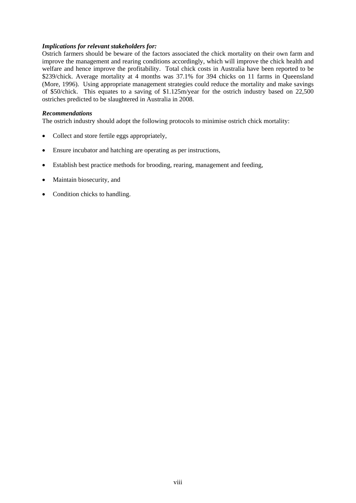#### *Implications for relevant stakeholders for:*

Ostrich farmers should be beware of the factors associated the chick mortality on their own farm and improve the management and rearing conditions accordingly, which will improve the chick health and welfare and hence improve the profitability. Total chick costs in Australia have been reported to be \$239/chick. Average mortality at 4 months was 37.1% for 394 chicks on 11 farms in Queensland (More, 1996). Using appropriate management strategies could reduce the mortality and make savings of \$50/chick. This equates to a saving of \$1.125m/year for the ostrich industry based on 22,500 ostriches predicted to be slaughtered in Australia in 2008.

#### *Recommendations*

The ostrich industry should adopt the following protocols to minimise ostrich chick mortality:

- Collect and store fertile eggs appropriately,
- Ensure incubator and hatching are operating as per instructions,
- Establish best practice methods for brooding, rearing, management and feeding,
- Maintain biosecurity, and
- Condition chicks to handling.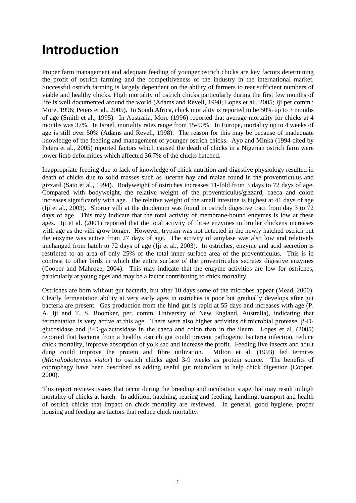# **Introduction**

Proper farm management and adequate feeding of younger ostrich chicks are key factors determining the profit of ostrich farming and the competitiveness of the industry in the international market. Successful ostrich farming is largely dependent on the ability of farmers to rear sufficient numbers of viable and healthy chicks. High mortality of ostrich chicks particularly during the first few months of life is well documented around the world (Adams and Revell, 1998; Lopes et al., 2005; Iji per.comm.; More, 1996; Peters et al., 2005). In South Africa, chick mortality is reported to be 50% up to 3 months of age (Smith et al., 1995). In Australia, More (1996) reported that average mortality for chicks at 4 months was 37%. In Israel, mortality rates range from 15-50%. In Europe, mortality up to 4 weeks of age is still over 50% (Adams and Revell, 1998). The reason for this may be because of inadequate knowledge of the feeding and management of younger ostrich chicks. Ayo and Minka (1994 cited by Peters et al., 2005) reported factors which caused the death of chicks in a Nigerian ostrich farm were lower limb deformities which affected 36.7% of the chicks hatched.

Inappropriate feeding due to lack of knowledge of chick nutrition and digestive physiology resulted in death of chicks due to solid masses such as lucerne hay and maize found in the proventriculus and gizzard (Sato et al., 1994). Bodyweight of ostriches increases 11-fold from 3 days to 72 days of age. Compared with bodyweight, the relative weight of the proventriculus/gizzard, caeca and colon increases significantly with age. The relative weight of the small intestine is highest at 41 days of age (Iji et al., 2003). Shorter villi at the duodenum was found in ostrich digestive tract from day 3 to 72 days of age. This may indicate that the total activity of membrane-bound enzymes is low at these ages. Iji et al. (2001) reported that the total activity of those enzymes in broiler chickens increases with age as the villi grow longer. However, trypsin was not detected in the newly hatched ostrich but the enzyme was active from 27 days of age. The activity of amylase was also low and relatively unchanged from hatch to 72 days of age (Iji et al., 2003). In ostriches, enzyme and acid secretion is restricted to an area of only 25% of the total inner surface area of the proventriculus. This is in contrast to other birds in which the entire surface of the proventriculus secretes digestive enzymes (Cooper and Mahroze, 2004). This may indicate that the enzyme activities are low for ostriches, particularly at young ages and may be a factor contributing to chick mortality.

Ostriches are born without gut bacteria, but after 10 days some of the microbes appear (Mead, 2000). Clearly fermentation ability at very early ages in ostriches is poor but gradually develops after gut bacteria are present. Gas production from the hind gut is rapid at 55 days and increases with age (P. A. Iji and T. S. Boomker, per. comm. University of New England, Australia), indicating that fermentation is very active at this age. There were also higher activities of microbial protease, β-Dglucosidase and β-D-galactosidase in the caeca and colon than in the ileum. Lopes et al. (2005) reported that bacteria from a healthy ostrich gut could prevent pathogenic bacteria infection, reduce chick mortality, improve absorption of yolk sac and increase the profit. Feeding live insects and adult dung could improve the protein and fibre utilization. Milton et al. (1993) fed termites (*Microhodotermes viator*) to ostrich chicks aged 3-9 weeks as protein source. The benefits of coprophagy have been described as adding useful gut microflora to help chick digestion (Cooper, 2000).

This report reviews issues that occur during the breeding and incubation stage that may result in high mortality of chicks at hatch. In addition, hatching, rearing and feeding, handling, transport and health of ostrich chicks that impact on chick mortality are reviewed. In general, good hygiene, proper housing and feeding are factors that reduce chick mortality.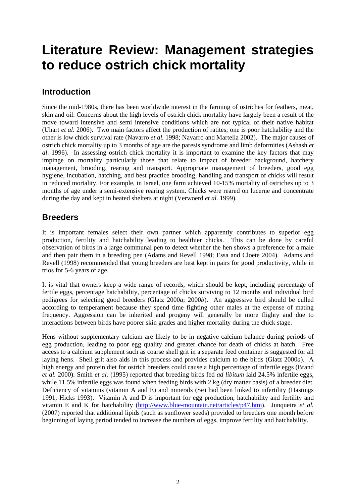# **Literature Review: Management strategies to reduce ostrich chick mortality**

### **Introduction**

Since the mid-1980s, there has been worldwide interest in the farming of ostriches for feathers, meat, skin and oil. Concerns about the high levels of ostrich chick mortality have largely been a result of the move toward intensive and semi intensive conditions which are not typical of their native habitat (Uhart *et al*. 2006). Two main factors affect the production of ratites; one is poor hatchability and the other is low chick survival rate (Navarro *et al.* 1998; Navarro and Martella 2002). The major causes of ostrich chick mortality up to 3 months of age are the paresis syndrome and limb deformities (Ashash *et al*. 1996). In assessing ostrich chick mortality it is important to examine the key factors that may impinge on mortality particularly those that relate to impact of breeder background, hatchery management, brooding, rearing and transport. Appropriate management of breeders, good egg hygiene, incubation, hatching, and best practice brooding, handling and transport of chicks will result in reduced mortality. For example, in Israel, one farm achieved 10-15% mortality of ostriches up to 3 months of age under a semi-extensive rearing system. Chicks were reared on lucerne and concentrate during the day and kept in heated shelters at night (Verwoerd *et al.* 1999).

### **Breeders**

It is important females select their own partner which apparently contributes to superior egg production, fertility and hatchability leading to healthier chicks. This can be done by careful observation of birds in a large communal pen to detect whether the hen shows a preference for a male and then pair them in a breeding pen (Adams and Revell 1998; Essa and Cloete 2004). Adams and Revell (1998) recommended that young breeders are best kept in pairs for good productivity, while in trios for 5-6 years of age.

It is vital that owners keep a wide range of records, which should be kept, including percentage of fertile eggs, percentage hatchability, percentage of chicks surviving to 12 months and individual bird pedigrees for selecting good breeders (Glatz 2000*a*; 2000*b*). An aggressive bird should be culled according to temperament because they spend time fighting other males at the expense of mating frequency. Aggression can be inherited and progeny will generally be more flighty and due to interactions between birds have poorer skin grades and higher mortality during the chick stage.

Hens without supplementary calcium are likely to be in negative calcium balance during periods of egg production, leading to poor egg quality and greater chance for death of chicks at hatch. Free access to a calcium supplement such as coarse shell grit in a separate feed container is suggested for all laying hens. Shell grit also aids in this process and provides calcium to the birds (Glatz 2000*a*). A high energy and protein diet for ostrich breeders could cause a high percentage of infertile eggs (Brand *et al.* 2000). Smith *et al.* (1995) reported that breeding birds fed *ad libitum* laid 24.5% infertile eggs, while 11.5% infertile eggs was found when feeding birds with 2 kg (dry matter basis) of a breeder diet. Deficiency of vitamins (vitamin A and E) and minerals (Se) had been linked to infertility (Hastings 1991; Hicks 1993). Vitamin A and D is important for egg production, hatchability and fertility and vitamin E and K for hatchability (http://www.blue-mountain.net/articles/p47.htm). Junqueira *et al.* (2007) reported that additional lipids (such as sunflower seeds) provided to breeders one month before beginning of laying period tended to increase the numbers of eggs, improve fertility and hatchability.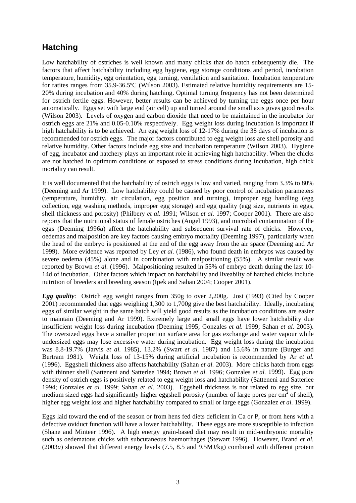### **Hatching**

Low hatchability of ostriches is well known and many chicks that do hatch subsequently die. The factors that affect hatchability including egg hygiene, egg storage conditions and period, incubation temperature, humidity, egg orientation, egg turning, ventilation and sanitation. Incubation temperature for ratites ranges from 35.9-36.5ºC (Wilson 2003). Estimated relative humidity requirements are 15- 20% during incubation and 40% during hatching. Optimal turning frequency has not been determined for ostrich fertile eggs. However, better results can be achieved by turning the eggs once per hour automatically. Eggs set with large end (air cell) up and turned around the small axis gives good results (Wilson 2003). Levels of oxygen and carbon dioxide that need to be maintained in the incubator for ostrich eggs are 21% and 0.05-0.10% respectively. Egg weight loss during incubation is important if high hatchability is to be achieved. An egg weight loss of 12-17% during the 38 days of incubation is recommended for ostrich eggs. The major factors contributed to egg weight loss are shell porosity and relative humidity. Other factors include egg size and incubation temperature (Wilson 2003). Hygiene of egg, incubator and hatchery plays an important role in achieving high hatchability. When the chicks are not hatched in optimum conditions or exposed to stress conditions during incubation, high chick mortality can result.

It is well documented that the hatchability of ostrich eggs is low and varied, ranging from 3.3% to 80% (Deeming and Ar 1999). Low hatchability could be caused by poor control of incubation parameters (temperature, humidity, air circulation, egg position and turning), improper egg handling (egg collection, egg washing methods, improper egg storage) and egg quality (egg size, nutrients in eggs, shell thickness and porosity) (Philbery *et al.* 1991; Wilson *et al.* 1997; Cooper 2001). There are also reports that the nutritional status of female ostriches (Angel 1993), and microbial contamination of the eggs (Deeming 1996*a*) affect the hatchability and subsequent survival rate of chicks. However, oedemas and malposition are key factors causing embryo mortality (Deeming 1997), particularly when the head of the embryo is positioned at the end of the egg away from the air space (Deeming and Ar 1999). More evidence was reported by Ley *et al.* (1986), who found death in embryos was caused by severe oedema (45%) alone and in combination with malpositioning (55%). A similar result was reported by Brown *et al.* (1996). Malpositioning resulted in 55% of embryo death during the last 10- 14d of incubation. Other factors which impact on hatchability and liveabilty of hatched chicks include nutrition of breeders and breeding season (Ipek and Sahan 2004; Cooper 2001).

*Egg quality*: Ostrich egg weight ranges from 350g to over 2,200g. Jost (1993) (Cited by Cooper 2001) recommended that eggs weighing 1,300 to 1,700g give the best hatchability. Ideally, incubating eggs of similar weight in the same batch will yield good results as the incubation conditions are easier to maintain (Deeming and Ar 1999). Extremely large and small eggs have lower hatchability due insufficient weight loss during incubation (Deeming 1995; Gonzales *et al.* 1999; Sahan *et al.* 2003). The oversized eggs have a smaller proportion surface area for gas exchange and water vapour while undersized eggs may lose excessive water during incubation. Egg weight loss during the incubation was 8.8-19.7% (Jarvis *et al.* 1985), 13.2% (Swart *et al.* 1987) and 15.6% in nature (Burger and Bertram 1981). Weight loss of 13-15% during artificial incubation is recommended by Ar *et al.* (1996). Eggshell thickness also affects hatchability (Sahan *et al.* 2003). More chicks hatch from eggs with thinner shell (Satteneni and Satterlee 1994; Brown *et al.* 1996; Gonzales *et al.* 1999). Egg pore density of ostrich eggs is positively related to egg weight loss and hatchability (Satteneni and Satterlee 1994; Gonzales *et al.* 1999; Sahan *et al.* 2003). Eggshell thickness is not related to egg size, but medium sized eggs had significantly higher eggshell porosity (number of large pores per  $\overline{cn}^2$  of shell), higher egg weight loss and higher hatchability compared to small or large eggs (Gonzalez *et al.* 1999).

Eggs laid toward the end of the season or from hens fed diets deficient in Ca or P, or from hens with a defective oviduct function will have a lower hatchability. These eggs are more susceptible to infection (Shane and Minteer 1996). A high energy grain-based diet may result in mid-embryonic mortality such as oedematous chicks with subcutaneous haemorrhages (Stewart 1996). However, Brand *et al.* (2003*a*) showed that different energy levels (7.5, 8.5 and 9.5MJ/kg) combined with different protein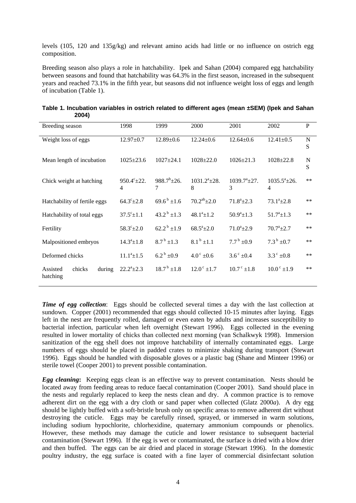levels (105, 120 and 135g/kg) and relevant amino acids had little or no influence on ostrich egg composition.

Breeding season also plays a role in hatchability. Ipek and Sahan (2004) compared egg hatchability between seasons and found that hatchability was 64.3% in the first season, increased in the subsequent years and reached 73.1% in the fifth year, but seasons did not influence weight loss of eggs and length of incubation (Table 1).

| Breeding season                          | 1998                       | 1999                     | 2000                      | 2001                    | 2002                      | P                |
|------------------------------------------|----------------------------|--------------------------|---------------------------|-------------------------|---------------------------|------------------|
| Weight loss of eggs                      | $12.97 \pm 0.7$            | $12.89 \pm 0.6$          | $12.24 \pm 0.6$           | $12.64 \pm 0.6$         | $12.41 \pm 0.5$           | $\mathbf N$<br>S |
| Mean length of incubation                | $1025 \pm 23.6$            | $1027 \pm 24.1$          | $1028 + 22.0$             | $1026 \pm 21.3$         | $1028 + 22.8$             | N<br>S           |
| Chick weight at hatching                 | $950.4^{\circ}$ + 22.<br>4 | $988.7^b \pm 26.$<br>7   | $1031.2^a \pm 28.$<br>8   | $1039.7^a \pm 27.$<br>3 | $1035.5^a \pm 26.$<br>4   | $***$            |
| Hatchability of fertile eggs             | $64.3^{\circ}$ ± 2.8       | $69.6^{\mathrm{b}}$ ±1.6 | $70.2^{ab} \pm 2.0$       | $71.8^a \pm 2.3$        | $73.1^a \pm 2.8$          | $***$            |
| Hatchability of total eggs               | $37.5^{\circ}$ ±1.1        | 43.2 $^{b}$ ±1.3         | $48.1^a \pm 1.2$          | $50.9^a \pm 1.3$        | $51.7^{\circ}$ ±1.3       | $***$            |
| Fertility                                | $58.3^{\circ}$ ±2.0        | $62.2^{\mathrm{b}}$ ±1.9 | $68.5^{\mathrm{a}}\pm2.0$ | $71.0^a \pm 2.9$        | $70.7^{\mathrm{a}}$ + 2.7 | $***$            |
| Malpositioned embryos                    | $14.3^a \pm 1.8$           | $8.7^{\mathrm{b}}$ ±1.3  | $8.1^{\mathrm{b}}$ ±1.1   | $7.7^{\mathrm{b}}$ ±0.9 | $7.3^{b}$ ±0.7            | $***$            |
| Deformed chicks                          | $11.1^a \pm 1.5$           | $6.2^{\mathrm{b}}$ ±0.9  | $4.0^{\circ}$ ±0.6        | $3.6^{\circ}$ ±0.4      | $3.3^{\circ}$ ±0.8        | $***$            |
| chicks<br>Assisted<br>during<br>hatching | $22.2^a \pm 2.3$           | $18.7^{\mathrm{b}}$ ±1.8 | $12.0^{\circ}$ ±1.7       | $10.7^{\circ}$ ±1.8     | $10.0^{\circ}$ ±1.9       | $**$             |

|       | Table 1. Incubation variables in ostrich related to different ages (mean ±SEM) (lpek and Sahan |  |
|-------|------------------------------------------------------------------------------------------------|--|
| 2004) |                                                                                                |  |

*Time of egg collection*: Eggs should be collected several times a day with the last collection at sundown. Copper (2001) recommended that eggs should collected 10-15 minutes after laying. Eggs left in the nest are frequently rolled, damaged or even eaten by adults and increases susceptibility to bacterial infection, particular when left overnight (Stewart 1996). Eggs collected in the evening resulted in lower mortality of chicks than collected next morning (van Schalkwyk 1998). Immersion sanitization of the egg shell does not improve hatchability of internally contaminated eggs. Large numbers of eggs should be placed in padded crates to minimize shaking during transport (Stewart 1996). Eggs should be handled with disposable gloves or a plastic bag (Shane and Minteer 1996) or sterile towel (Cooper 2001) to prevent possible contamination.

*Egg cleaning***:** Keeping eggs clean is an effective way to prevent contamination. Nests should be located away from feeding areas to reduce faecal contamination (Cooper 2001). Sand should place in the nests and regularly replaced to keep the nests clean and dry. A common practice is to remove adherent dirt on the egg with a dry cloth or sand paper when collected (Glatz 2000*a*). A dry egg should be lightly buffed with a soft-bristle brush only on specific areas to remove adherent dirt without destroying the cuticle. Eggs may be carefully rinsed, sprayed, or immersed in warm solutions, including sodium hypochlorite, chlorhexidine, quaternary ammonium compounds or phenolics. However, these methods may damage the cuticle and lower resistance to subsequent bacterial contamination (Stewart 1996). If the egg is wet or contaminated, the surface is dried with a blow drier and then buffed. The eggs can be air dried and placed in storage (Stewart 1996). In the domestic poultry industry, the egg surface is coated with a fine layer of commercial disinfectant solution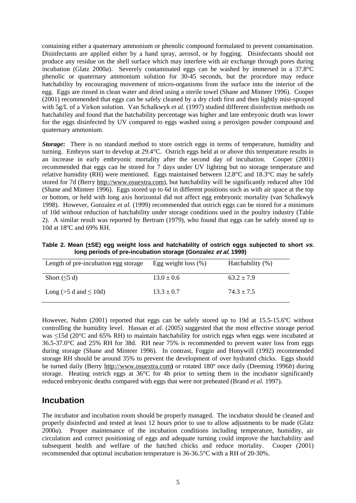containing either a quaternary ammonium or phenolic compound formulated to prevent contamination. Disinfectants are applied either by a hand spray, aerosol, or by fogging. Disinfectants should not produce any residue on the shell surface which may interfere with air exchange through pores during incubation (Glatz 2000*a*). Severely contaminated eggs can be washed by immersed in a 37.8°C phenolic or quaternary ammonium solution for 30-45 seconds, but the procedure may reduce hatchability by encouraging movement of micro-organisms from the surface into the interior of the egg. Eggs are rinsed in clean water and dried using a sterile towel (Shane and Minteer 1996). Cooper (2001) recommended that eggs can be safely cleaned by a dry cloth first and then lightly mist-sprayed with 5g/L of a Virkon solution. Van Schalkwyk *et al.* (1997) studied different disinfection methods on hatchability and found that the hatchability percentage was higher and late embryonic death was lower for the eggs disinfected by UV compared to eggs washed using a peroxigen powder compound and quaternary ammonium.

*Storage***:** There is no standard method to store ostrich eggs in terms of temperature, humidity and turning. Embryos start to develop at 29.4°C. Ostrich eggs held at or above this temperature results in an increase in early embryonic mortality after the second day of incubation. Cooper (2001) recommended that eggs can be stored for 7 days under UV lighting but no storage temperature and relative humidity (RH) were mentioned. Eggs maintained between 12.8°C and 18.3°C may be safely stored for 7d (Berry http://www.osuextra.com), but hatchability will be significantly reduced after 10d (Shane and Minteer 1996). Eggs stored up to 6d in different positions such as with air space at the top or bottom, or held with long axis horizontal did not affect egg embryonic mortality (van Schalkwyk 1998). However, Gonzalez *et al.* (1999) recommended that ostrich eggs can be stored for a minimum of 10d without reduction of hatchability under storage conditions used in the poultry industry (Table 2). A similar result was reported by Bertram (1979), who found that eggs can be safely stored up to 10d at 18ºC and 69% RH.

Table 2. Mean (±SE) egg weight loss and hatchability of ostrich eggs subjected to short *vs.* **long periods of pre-incubation storage (Gonzalez et al. 1999)** 

| Length of pre-incubation egg storage | Egg weight loss $(\%)$ | Hatchability $(\%)$ |
|--------------------------------------|------------------------|---------------------|
| Short $(\leq 5 d)$                   | $13.0 \pm 0.6$         | $63.2 \pm 7.9$      |
| Long ( $>5$ d and $\leq 10d$ )       | $13.3 \pm 0.7$         | $74.3 \pm 7.5$      |

However, Nahm (2001) reported that eggs can be safely stored up to 19d at 15.5-15.6ºC without controlling the humidity level. Hassan *et al.* (2005) suggested that the most effective storage period was ≤15d (20°C and 65% RH) to maintain hatchability for ostrich eggs when eggs were incubated at 36.5-37.0°C and 25% RH for 38d. RH near 75% is recommended to prevent water loss from eggs during storage (Shane and Minteer 1996). In contrast, Foggin and Honywill (1992) recommended storage RH should be around 35% to prevent the development of over hydrated chicks. Eggs should be turned daily (Berry http://www.osuextra.com**)** or rotated 180º once daily (Deeming 1996*b*) during storage. Heating ostrich eggs at  $36^{\circ}$ C for 4h prior to setting them in the incubator significantly reduced embryonic deaths compared with eggs that were not preheated (Brand *et al.* 1997).

#### **Incubation**

The incubator and incubation room should be properly managed. The incubator should be cleaned and properly disinfected and tested at least 12 hours prior to use to allow adjustments to be made (Glatz 2000*a*). Proper maintenance of the incubation conditions including temperature, humidity, air circulation and correct positioning of eggs and adequate turning could improve the hatchability and subsequent health and welfare of the hatched chicks and reduce mortality. Cooper (2001) recommended that optimal incubation temperature is 36-36.5°C with a RH of 20-30%.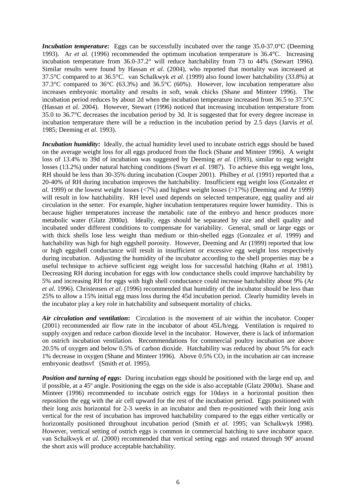*Incubation temperature*: Eggs can be successfully incubated over the range 35.0-37.0°C (Deeming 1993). Ar *et al.* (1996) recommended the optimum incubation temperature is 36.4°C. Increasing incubation temperature from 36.0-37.2° will reduce hatchability from 73 to 44% (Stewart 1996). Similar results were found by Hassan *et al.* (2004), who reported that mortality was increased at 37.5°C compared to at 36.5°C. van Schalkwyk *et al.* (1999) also found lower hatchability (33.8%) at 37.3°C compared to 36°C (63.3%) and 36.5°C (60%). However, low incubation temperature also increases embryonic mortality and results in soft, weak chicks (Shane and Minteer 1996). The incubation period reduces by about 2d when the incubation temperature increased from 36.5 to 37.5°C (Hassan *et al.* 2004). However, Stewart (1996) noticed that increasing incubation temperature from 35.0 to 36.7°C decreases the incubation period by 3d. It is suggested that for every degree increase in incubation temperature there will be a reduction in the incubation period by 2.5 days (Jarvis *et al.* 1985; Deeming *et al.* 1993).

*Incubation humidity***:** Ideally, the actual humidity level used to incubate ostrich eggs should be based on the average weight loss for all eggs produced from the flock (Shane and Minteer 1996). A weight loss of 13.4% to 39d of incubation was suggested by Deeming *et al.* (1993), similar to egg weight losses (13.2%) under natural hatching conditions (Swart *et al.* 1987). To achieve this egg weight loss, RH should be less than 30-35% during incubation (Cooper 2001). Philbey *et al.* (1991) reported that a 20-40% of RH during incubation improves the hatchability. Insufficient egg weight loss (Gonzalez *et al.* 1999) or the lowest weight losses (<7%) and highest weight losses (>17%) (Deeming and Ar 1999) will result in low hatchability. RH level used depends on selected temperature, egg quality and air circulation in the setter. For example, higher incubation temperatures require lower humidity. This is because higher temperatures increase the metabolic rate of the embryo and hence produces more metabolic water (Glatz 2000*a*). Ideally, eggs should be separated by size and shell quality and incubated under different conditions to compensate for variability. General, small or large eggs or with thick shells lose less weight than medium or thin-shelled eggs (Gonzalez *et al.* 1999) and hatchability was high for high eggshell porosity. However, Deeming and Ar (1999) reported that low or high eggshell conductance will result in insufficient or excessive egg weight loss respectively during incubation. Adjusting the humidity of the incubator according to the shell properties may be a useful technique to achieve sufficient egg weight loss for successful hatching (Rahn *et al.* 1981). Decreasing RH during incubation for eggs with low conductance shells could improve hatchability by 5% and increasing RH for eggs with high shell conductance could increase hatchability about 9% (Ar *et al.* 1996). Christensen *et al.* (1996) recommended that humidity of the incubator should be less than 25% to allow a 15% initial egg mass loss during the 45d incubation period. Clearly humidity levels in the incubator play a key role in hatchability and subsequent mortality of chicks.

*Air circulation and ventilation***:** Circulation is the movement of air within the incubator. Cooper (2001) recommended air flow rate in the incubator of about 45L/h/egg. Ventilation is required to supply oxygen and reduce carbon dioxide level in the incubator. However, there is lack of information on ostrich incubation ventilation. Recommendations for commercial poultry incubation are above 20.5% of oxygen and below 0.5% of carbon dioxide. Hatchability was reduced by about 5% for each 1% decrease in oxygen (Shane and Minteer 1996). Above  $0.5\%$  CO<sub>2</sub> in the incubation air can increase embryonic deathsvf (Smith *et al.* 1995).

*Position and turning of eggs*: During incubation eggs should be positioned with the large end up, and if possible, at a 45º angle. Positioning the eggs on the side is also acceptable (Glatz 2000*a*). Shane and Minteer (1996) recommended to incubate ostrich eggs for 10days in a horizontal position then reposition the egg with the air cell upward for the rest of the incubation period. Eggs positioned with their long axis horizontal for 2-3 weeks in an incubator and then re-positioned with their long axis vertical for the rest of incubation has improved hatchability compared to the eggs either vertically or horizontally positioned throughout incubation period (Smith *et al.* 1995; van Schalkwyk 1998). However, vertical setting of ostrich eggs is common in commercial hatching to save incubator space. van Schalkwyk *et al.* (2000) recommended that vertical setting eggs and rotated through 90º around the short axis will produce acceptable hatchability.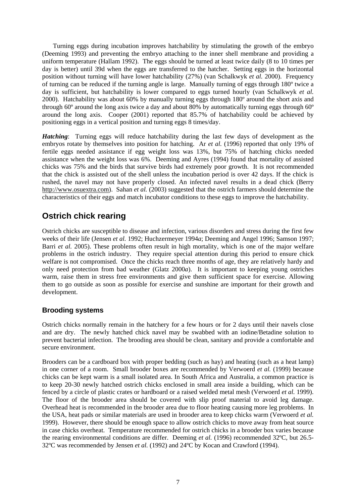Turning eggs during incubation improves hatchability by stimulating the growth of the embryo (Deeming 1993) and preventing the embryo attaching to the inner shell membrane and providing a uniform temperature (Hallam 1992). The eggs should be turned at least twice daily (8 to 10 times per day is better) until 39d when the eggs are transferred to the hatcher. Setting eggs in the horizontal position without turning will have lower hatchability (27%) (van Schalkwyk *et al.* 2000). Frequency of turning can be reduced if the turning angle is large. Manually turning of eggs through 180º twice a day is sufficient, but hatchability is lower compared to eggs turned hourly (van Schalkwyk *et al.* 2000). Hatchability was about 60% by manually turning eggs through 180º around the short axis and through 60º around the long axis twice a day and about 80% by automatically turning eggs through 60º around the long axis. Cooper (2001) reported that 85.7% of hatchability could be achieved by positioning eggs in a vertical position and turning eggs 8 times/day.

*Hatching*: Turning eggs will reduce hatchability during the last few days of development as the embryos rotate by themselves into position for hatching. Ar *et al.* (1996) reported that only 19% of fertile eggs needed assistance if egg weight loss was 13%, but 75% of hatching chicks needed assistance when the weight loss was 6%. Deeming and Ayres (1994) found that mortality of assisted chicks was 75% and the birds that survive birds had extremely poor growth. It is not recommended that the chick is assisted out of the shell unless the incubation period is over 42 days. If the chick is rushed, the navel may not have properly closed. An infected navel results in a dead chick (Berry http://www.osuextra.com). Sahan *et al.* (2003) suggested that the ostrich farmers should determine the characteristics of their eggs and match incubator conditions to these eggs to improve the hatchability.

### **Ostrich chick rearing**

Ostrich chicks are susceptible to disease and infection, various disorders and stress during the first few weeks of their life (Jensen *et al.* 1992; Huchzermeyer 1994*a*; Deeming and Angel 1996; Samson 1997; Barri *et al.* 2005). These problems often result in high mortality, which is one of the major welfare problems in the ostrich industry. They require special attention during this period to ensure chick welfare is not compromised. Once the chicks reach three months of age, they are relatively hardy and only need protection from bad weather (Glatz 2000*a*). It is important to keeping young ostriches warm, raise them in stress free environments and give them sufficient space for exercise. Allowing them to go outside as soon as possible for exercise and sunshine are important for their growth and development.

#### **Brooding systems**

Ostrich chicks normally remain in the hatchery for a few hours or for 2 days until their navels close and are dry. The newly hatched chick navel may be swabbed with an iodine/Betadine solution to prevent bacterial infection. The brooding area should be clean, sanitary and provide a comfortable and secure environment.

Brooders can be a cardboard box with proper bedding (such as hay) and heating (such as a heat lamp) in one corner of a room. Small brooder boxes are recommended by Verwoerd *et al.* (1999) because chicks can be kept warm is a small isolated area. In South Africa and Australia, a common practice is to keep 20-30 newly hatched ostrich chicks enclosed in small area inside a building, which can be fenced by a circle of plastic crates or hardboard or a raised welded metal mesh (Verwoerd *et al.* 1999). The floor of the brooder area should be covered with slip proof material to avoid leg damage. Overhead heat is recommended in the brooder area due to floor heating causing more leg problems. In the USA, heat pads or similar materials are used in brooder area to keep chicks warm (Verwoerd *et al.* 1999). However, there should be enough space to allow ostrich chicks to move away from heat source in case chicks overheat. Temperature recommended for ostrich chicks in a brooder box varies because the rearing environmental conditions are differ. Deeming *et al.* (1996) recommended 32ºC, but 26.5- 32ºC was recommended by Jensen *et al.* (1992) and 24ºC by Kocan and Crawford (1994).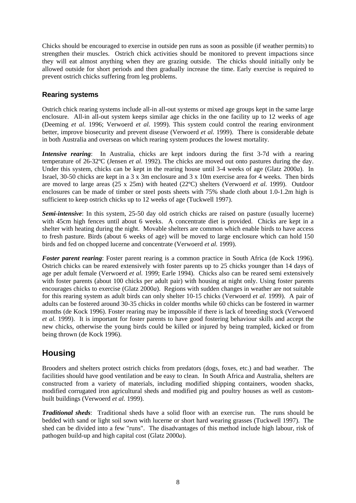Chicks should be encouraged to exercise in outside pen runs as soon as possible (if weather permits) to strengthen their muscles. Ostrich chick activities should be monitored to prevent impactions since they will eat almost anything when they are grazing outside. The chicks should initially only be allowed outside for short periods and then gradually increase the time. Early exercise is required to prevent ostrich chicks suffering from leg problems.

#### **Rearing systems**

Ostrich chick rearing systems include all-in all-out systems or mixed age groups kept in the same large enclosure. All-in all-out system keeps similar age chicks in the one facility up to 12 weeks of age (Deeming *et al.* 1996; Verwoerd *et al.* 1999). This system could control the rearing environment better, improve biosecurity and prevent disease (Verwoerd *et al.* 1999). There is considerable debate in both Australia and overseas on which rearing system produces the lowest mortality.

*Intensive rearing*: In Australia, chicks are kept indoors during the first 3-7d with a rearing temperature of 26-32ºC (Jensen *et al.* 1992). The chicks are moved out onto pastures during the day. Under this system, chicks can be kept in the rearing house until 3-4 weeks of age (Glatz 2000*a*). In Israel, 30-50 chicks are kept in a 3 x 3m enclosure and 3 x 10m exercise area for 4 weeks. Then birds are moved to large areas (25 x 25m) with heated (22ºC) shelters (Verwoerd *et al.* 1999). Outdoor enclosures can be made of timber or steel posts sheets with 75% shade cloth about 1.0-1.2m high is sufficient to keep ostrich chicks up to 12 weeks of age (Tuckwell 1997).

*Semi-intensive*: In this system, 25-50 day old ostrich chicks are raised on pasture (usually lucerne) with 45cm high fences until about 6 weeks. A concentrate diet is provided. Chicks are kept in a shelter with heating during the night. Movable shelters are common which enable birds to have access to fresh pasture. Birds (about 6 weeks of age) will be moved to large enclosure which can hold 150 birds and fed on chopped lucerne and concentrate (Verwoerd *et al.* 1999).

*Foster parent rearing*: Foster parent rearing is a common practice in South Africa (de Kock 1996). Ostrich chicks can be reared extensively with foster parents up to 25 chicks younger than 14 days of age per adult female (Verwoerd *et al.* 1999; Earle 1994). Chicks also can be reared semi extensively with foster parents (about 100 chicks per adult pair) with housing at night only. Using foster parents encourages chicks to exercise (Glatz 2000*a*). Regions with sudden changes in weather are not suitable for this rearing system as adult birds can only shelter 10-15 chicks (Verwoerd *et al.* 1999). A pair of adults can be fostered around 30-35 chicks in colder months while 60 chicks can be fostered in warmer months (de Kock 1996). Foster rearing may be impossible if there is lack of breeding stock (Verwoerd *et al.* 1999). It is important for foster parents to have good fostering behaviour skills and accept the new chicks, otherwise the young birds could be killed or injured by being trampled, kicked or from being thrown (de Kock 1996).

# **Housing**

Brooders and shelters protect ostrich chicks from predators (dogs, foxes, etc.) and bad weather. The facilities should have good ventilation and be easy to clean. In South Africa and Australia, shelters are constructed from a variety of materials, including modified shipping containers, wooden shacks, modified corrugated iron agricultural sheds and modified pig and poultry houses as well as custombuilt buildings (Verwoerd *et al.* 1999).

*Traditional sheds*: Traditional sheds have a solid floor with an exercise run. The runs should be bedded with sand or light soil sown with lucerne or short hard wearing grasses (Tuckwell 1997). The shed can be divided into a few "runs". The disadvantages of this method include high labour, risk of pathogen build-up and high capital cost (Glatz 2000*a*).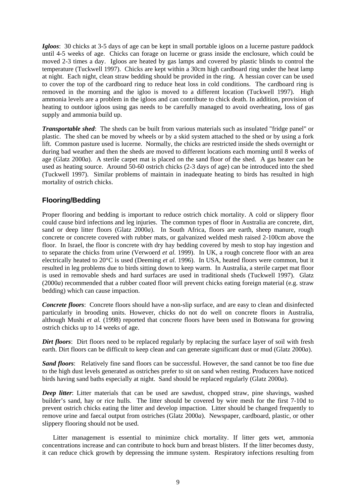*Igloos*: 30 chicks at 3-5 days of age can be kept in small portable igloos on a lucerne pasture paddock until 4-5 weeks of age. Chicks can forage on lucerne or grass inside the enclosure, which could be moved 2-3 times a day. Igloos are heated by gas lamps and covered by plastic blinds to control the temperature (Tuckwell 1997). Chicks are kept within a 30cm high cardboard ring under the heat lamp at night. Each night, clean straw bedding should be provided in the ring. A hessian cover can be used to cover the top of the cardboard ring to reduce heat loss in cold conditions. The cardboard ring is removed in the morning and the igloo is moved to a different location (Tuckwell 1997). High ammonia levels are a problem in the igloos and can contribute to chick death. In addition, provision of heating to outdoor igloos using gas needs to be carefully managed to avoid overheating, loss of gas supply and ammonia build up.

*Transportable shed*: The sheds can be built from various materials such as insulated "fridge panel" or plastic. The shed can be moved by wheels or by a skid system attached to the shed or by using a fork lift. Common pasture used is lucerne. Normally, the chicks are restricted inside the sheds overnight or during bad weather and then the sheds are moved to different locations each morning until 8 weeks of age (Glatz 2000*a*). A sterile carpet mat is placed on the sand floor of the shed. A gas heater can be used as heating source. Around 50-60 ostrich chicks (2-3 days of age) can be introduced into the shed (Tuckwell 1997). Similar problems of maintain in inadequate heating to birds has resulted in high mortality of ostrich chicks.

#### **Flooring/Bedding**

Proper flooring and bedding is important to reduce ostrich chick mortality. A cold or slippery floor could cause bird infections and leg injuries. The common types of floor in Australia are concrete, dirt, sand or deep litter floors (Glatz 2000*a*). In South Africa, floors are earth, sheep manure, rough concrete or concrete covered with rubber mats, or galvanized welded mesh raised 2-100cm above the floor. In Israel, the floor is concrete with dry hay bedding covered by mesh to stop hay ingestion and to separate the chicks from urine (Verwoerd *et al.* 1999). In UK, a rough concrete floor with an area electrically heated to 20°C is used (Deeming *et al.* 1996). In USA, heated floors were common, but it resulted in leg problems due to birds sitting down to keep warm. In Australia, a sterile carpet mat floor is used in removable sheds and hard surfaces are used in traditional sheds (Tuckwell 1997). Glatz (2000*a*) recommended that a rubber coated floor will prevent chicks eating foreign material (e.g. straw bedding) which can cause impaction.

*Concrete floors*: Concrete floors should have a non-slip surface, and are easy to clean and disinfected particularly in brooding units. However, chicks do not do well on concrete floors in Australia, although Mushi *et al.* (1998) reported that concrete floors have been used in Botswana for growing ostrich chicks up to 14 weeks of age.

*Dirt floors*: Dirt floors need to be replaced regularly by replacing the surface layer of soil with fresh earth. Dirt floors can be difficult to keep clean and can generate significant dust or mud (Glatz 2000*a*).

*Sand floors*: Relatively fine sand floors can be successful. However, the sand cannot be too fine due to the high dust levels generated as ostriches prefer to sit on sand when resting. Producers have noticed birds having sand baths especially at night. Sand should be replaced regularly (Glatz 2000*a*).

*Deep litter*: Litter materials that can be used are sawdust, chopped straw, pine shavings, washed builder's sand, hay or rice hulls. The litter should be covered by wire mesh for the first 7-10d to prevent ostrich chicks eating the litter and develop impaction. Litter should be changed frequently to remove urine and faecal output from ostriches (Glatz 2000*a*). Newspaper, cardboard, plastic, or other slippery flooring should not be used.

Litter management is essential to minimize chick mortality. If litter gets wet, ammonia concentrations increase and can contribute to hock burn and breast blisters. If the litter becomes dusty, it can reduce chick growth by depressing the immune system. Respiratory infections resulting from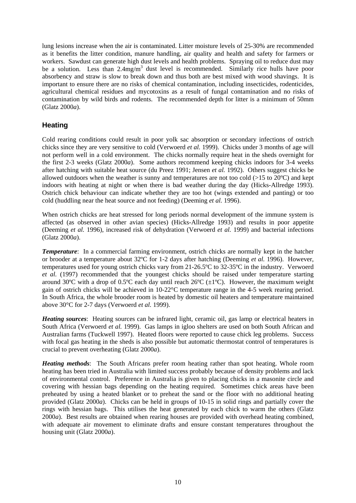lung lesions increase when the air is contaminated. Litter moisture levels of 25-30% are recommended as it benefits the litter condition, manure handling, air quality and health and safety for farmers or workers. Sawdust can generate high dust levels and health problems. Spraying oil to reduce dust may be a solution. Less than  $2.4 \text{mg/m}^3$  dust level is recommended. Similarly rice hulls have poor absorbency and straw is slow to break down and thus both are best mixed with wood shavings. It is important to ensure there are no risks of chemical contamination, including insecticides, rodenticides, agricultural chemical residues and mycotoxins as a result of fungal contamination and no risks of contamination by wild birds and rodents. The recommended depth for litter is a minimum of 50mm (Glatz 2000*a*).

#### **Heating**

Cold rearing conditions could result in poor yolk sac absorption or secondary infections of ostrich chicks since they are very sensitive to cold (Verwoerd *et al.* 1999). Chicks under 3 months of age will not perform well in a cold environment. The chicks normally require heat in the sheds overnight for the first 2-3 weeks (Glatz 2000*a*). Some authors recommend keeping chicks indoors for 3-4 weeks after hatching with suitable heat source (du Preez 1991; Jensen *et al.* 1992). Others suggest chicks be allowed outdoors when the weather is sunny and temperatures are not too cold  $(>15$  to 20 $^{\circ}$ C) and kept indoors with heating at night or when there is bad weather during the day (Hicks-Allredge 1993). Ostrich chick behaviour can indicate whether they are too hot (wings extended and panting) or too cold (huddling near the heat source and not feeding) (Deeming *et al.* 1996).

When ostrich chicks are heat stressed for long periods normal development of the immune system is affected (as observed in other avian species) (Hicks-Allredge 1993) and results in poor appetite (Deeming *et al.* 1996), increased risk of dehydration (Verwoerd *et al.* 1999) and bacterial infections (Glatz 2000*a*).

*Temperature*: In a commercial farming environment, ostrich chicks are normally kept in the hatcher or brooder at a temperature about 32ºC for 1-2 days after hatching (Deeming *et al.* 1996). However, temperatures used for young ostrich chicks vary from 21-26.5ºC to 32-35ºC in the industry. Verwoerd *et al.* (1997) recommended that the youngest chicks should be raised under temperature starting around 30°C with a drop of 0.5°C each day until reach 26°C ( $\pm$ 1°C). However, the maximum weight gain of ostrich chicks will be achieved in 10-22°C temperature range in the 4-5 week rearing period. In South Africa, the whole brooder room is heated by domestic oil heaters and temperature maintained above 30°C for 2-7 days (Verwoerd *et al.* 1999).

*Heating sources*: Heating sources can be infrared light, ceramic oil, gas lamp or electrical heaters in South Africa (Verwoerd *et al.* 1999). Gas lamps in igloo shelters are used on both South African and Australian farms (Tuckwell 1997). Heated floors were reported to cause chick leg problems. Success with focal gas heating in the sheds is also possible but automatic thermostat control of temperatures is crucial to prevent overheating (Glatz 2000*a*).

*Heating methods*: The South Africans prefer room heating rather than spot heating. Whole room heating has been tried in Australia with limited success probably because of density problems and lack of environmental control. Preference in Australia is given to placing chicks in a masonite circle and covering with hessian bags depending on the heating required. Sometimes chick areas have been preheated by using a heated blanket or to preheat the sand or the floor with no additional heating provided (Glatz 2000*a*). Chicks can be held in groups of 10-15 in solid rings and partially cover the rings with hessian bags. This utilises the heat generated by each chick to warm the others (Glatz 2000*a*). Best results are obtained when rearing houses are provided with overhead heating combined, with adequate air movement to eliminate drafts and ensure constant temperatures throughout the housing unit (Glatz 2000*a*).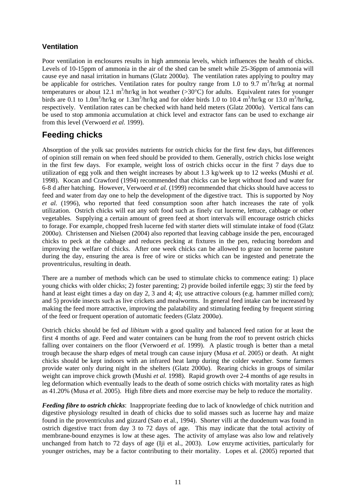#### **Ventilation**

Poor ventilation in enclosures results in high ammonia levels, which influences the health of chicks. Levels of 10-15ppm of ammonia in the air of the shed can be smelt while 25-36ppm of ammonia will cause eye and nasal irritation in humans (Glatz 2000*a*). The ventilation rates applying to poultry may be applicable for ostriches. Ventilation rates for poultry range from 1.0 to  $9.7 \text{ m}^3/\text{hr/kg}$  at normal temperatures or about 12.1 m<sup>3</sup>/hr/kg in hot weather (>30°C) for adults. Equivalent rates for younger birds are 0.1 to 1.0m<sup>3</sup>/hr/kg or 1.3m<sup>3</sup>/hr/kg and for older birds 1.0 to 10.4 m<sup>3</sup>/hr/kg or 13.0 m<sup>3</sup>/hr/kg, respectively. Ventilation rates can be checked with hand held meters (Glatz 2000*a*). Vertical fans can be used to stop ammonia accumulation at chick level and extractor fans can be used to exchange air from this level (Verwoerd *et al.* 1999).

### **Feeding chicks**

Absorption of the yolk sac provides nutrients for ostrich chicks for the first few days, but differences of opinion still remain on when feed should be provided to them. Generally, ostrich chicks lose weight in the first few days. For example, weight loss of ostrich chicks occur in the first 7 days due to utilization of egg yolk and then weight increases by about 1.3 kg/week up to 12 weeks (Mushi *et al.* 1998). Kocan and Crawford (1994) recommended that chicks can be kept without food and water for 6-8 d after hatching. However, Verwoerd *et al.* (1999) recommended that chicks should have access to feed and water from day one to help the development of the digestive tract. This is supported by Noy *et al.* (1996), who reported that feed consumption soon after hatch increases the rate of yolk utilization. Ostrich chicks will eat any soft food such as finely cut lucerne, lettuce, cabbage or other vegetables. Supplying a certain amount of green feed at short intervals will encourage ostrich chicks to forage. For example, chopped fresh lucerne fed with starter diets will stimulate intake of food (Glatz 2000*a*). Christensen and Nielsen (2004) also reported that leaving cabbage inside the pen, encouraged chicks to peck at the cabbage and reduces pecking at fixtures in the pen, reducing boredom and improving the welfare of chicks. After one week chicks can be allowed to graze on lucerne pasture during the day, ensuring the area is free of wire or sticks which can be ingested and penetrate the proventriculus, resulting in death.

There are a number of methods which can be used to stimulate chicks to commence eating: 1) place young chicks with older chicks; 2) foster parenting; 2) provide boiled infertile eggs; 3) stir the feed by hand at least eight times a day on day 2, 3 and 4; 4); use attractive colours (e.g. hammer milled corn); and 5) provide insects such as live crickets and mealworms. In general feed intake can be increased by making the feed more attractive, improving the palatability and stimulating feeding by frequent stirring of the feed or frequent operation of automatic feeders (Glatz 2000*a*).

Ostrich chicks should be fed *ad libitum* with a good quality and balanced feed ration for at least the first 4 months of age. Feed and water containers can be hung from the roof to prevent ostrich chicks falling over containers on the floor (Verwoerd *et al.* 1999). A plastic trough is better than a metal trough because the sharp edges of metal trough can cause injury (Musa *et al.* 2005) or death. At night chicks should be kept indoors with an infrared heat lamp during the colder weather. Some farmers provide water only during night in the shelters (Glatz 2000*a*). Rearing chicks in groups of similar weight can improve chick growth (Mushi *et al.* 1998). Rapid growth over 2-4 months of age results in leg deformation which eventually leads to the death of some ostrich chicks with mortality rates as high as 41.20% (Musa *et al.* 2005). High fibre diets and more exercise may be help to reduce the mortality.

*Feeding fibre to ostrich chicks*: Inappropriate feeding due to lack of knowledge of chick nutrition and digestive physiology resulted in death of chicks due to solid masses such as lucerne hay and maize found in the proventriculus and gizzard (Sato et al., 1994). Shorter villi at the duodenum was found in ostrich digestive tract from day 3 to 72 days of age. This may indicate that the total activity of membrane-bound enzymes is low at these ages. The activity of amylase was also low and relatively unchanged from hatch to 72 days of age (Iji et al., 2003). Low enzyme activities, particularly for younger ostriches, may be a factor contributing to their mortality. Lopes et al. (2005) reported that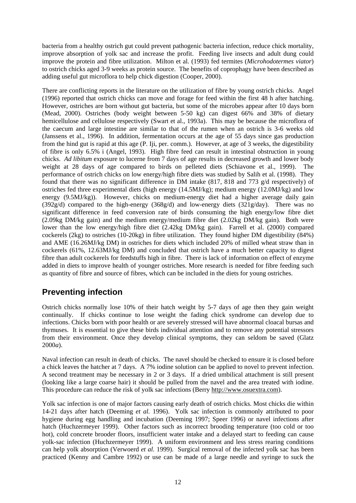bacteria from a healthy ostrich gut could prevent pathogenic bacteria infection, reduce chick mortality, improve absorption of yolk sac and increase the profit. Feeding live insects and adult dung could improve the protein and fibre utilization. Milton et al. (1993) fed termites (*Microhodotermes viator*) to ostrich chicks aged 3-9 weeks as protein source. The benefits of coprophagy have been described as adding useful gut microflora to help chick digestion (Cooper, 2000).

There are conflicting reports in the literature on the utilization of fibre by young ostrich chicks. Angel (1996) reported that ostrich chicks can move and forage for feed within the first 48 h after hatching. However, ostriches are born without gut bacteria, but some of the microbes appear after 10 days born (Mead, 2000). Ostriches (body weight between 5-50 kg) can digest 66% and 38% of dietary hemicellulose and cellulose respectively (Swart et al., 1993a). This may be because the microflora of the caecum and large intestine are similar to that of the rumen when an ostrich is 3-6 weeks old (Janssens et al., 1996). In addition, fermentation occurs at the age of 55 days since gas production from the hind gut is rapid at this age (P. Iji, per. comm.). However, at age of 3 weeks, the digestibility of fibre is only 6.5% i (Angel, 1993). High fibre feed can result in intestinal obstruction in young chicks. *Ad libitum* exposure to lucerne from 7 days of age results in decreased growth and lower body weight at 28 days of age compared to birds on pelleted diets (Schiavone et al., 1999). The performance of ostrich chicks on low energy/high fibre diets was studied by Salih et al. (1998). They found that there was no significant difference in DM intake (817, 818 and 773  $g/d$  respectively) of ostriches fed three experimental diets (high energy (14.5MJ/kg); medium energy (12.0MJ/kg) and low energy (9.5MJ/kg)). However, chicks on medium-energy diet had a higher average daily gain (392g/d) compared to the high-energy (368g/d) and low-energy diets (321g/day). There was no significant difference in feed conversion rate of birds consuming the high energy/low fibre diet (2.09kg DM/kg gain) and the medium energy/medium fibre diet (2.02kg DM/kg gain). Both were lower than the low energy/high fibre diet (2.42kg DM/kg gain). Farrell et al. (2000) compared cockerels (2kg) to ostriches (10-20kg) in fibre utilization. They found higher DM digestibility (84%) and AME (16.26MJ/kg DM) in ostriches for diets which included 20% of milled wheat straw than in cockerels (61%, 12.63MJ/kg DM) and concluded that ostrich have a much better capacity to digest fibre than adult cockerels for feedstuffs high in fibre. There is lack of information on effect of enzyme added in diets to improve health of younger ostriches. More research is needed for fibre feeding such as quantity of fibre and source of fibres, which can be included in the diets for young ostriches.

### **Preventing infection**

Ostrich chicks normally lose 10% of their hatch weight by 5-7 days of age then they gain weight continually. If chicks continue to lose weight the fading chick syndrome can develop due to infections. Chicks born with poor health or are severely stressed will have abnormal cloacal bursas and thymuses. It is essential to give these birds individual attention and to remove any potential stressors from their environment. Once they develop clinical symptoms, they can seldom be saved (Glatz 2000*a*).

Naval infection can result in death of chicks. The navel should be checked to ensure it is closed before a chick leaves the hatcher at 7 days. A 7% iodine solution can be applied to novel to prevent infection. A second treatment may be necessary in 2 or 3 days. If a dried umbilical attachment is still present (looking like a large coarse hair) it should be pulled from the navel and the area treated with iodine. This procedure can reduce the risk of yolk sac infections (Berry http://www.osuextra.com).

Yolk sac infection is one of major factors causing early death of ostrich chicks. Most chicks die within 14-21 days after hatch (Deeming *et al.* 1996). Yolk sac infection is commonly attributed to poor hygiene during egg handling and incubation (Deeming 1997; Speer 1996) or navel infections after hatch (Huchzermeyer 1999). Other factors such as incorrect brooding temperature (too cold or too hot), cold concrete brooder floors, insufficient water intake and a delayed start to feeding can cause yolk-sac infection (Huchzermeyer 1999). A uniform environment and less stress rearing conditions can help yolk absorption (Verwoerd *et al.* 1999). Surgical removal of the infected yolk sac has been practiced (Kenny and Cambre 1992) or use can be made of a large needle and syringe to suck the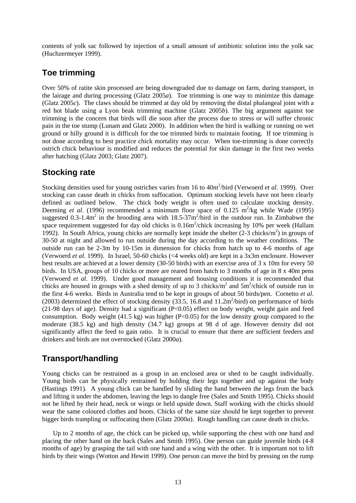contents of yolk sac followed by injection of a small amount of antibiotic solution into the yolk sac (Huchzermeyer 1999).

# **Toe trimming**

Over 50% of ratite skin processed are being downgraded due to damage on farm, during transport, in the lairage and during processing (Glatz 2005*a*). Toe trimming is one way to minimize this damage (Glatz 2005*c*). The claws should be trimmed at day old by removing the distal phalangeal joint with a red hot blade using a Lyon beak trimming machine (Glatz 2005*b*). The big argument against toe trimming is the concern that birds will die soon after the process due to stress or will suffer chronic pain in the toe stump (Lunam and Glatz 2000). In addition when the bird is walking or running on wet ground or hilly ground it is difficult for the toe trimmed birds to maintain footing. If toe trimming is not done according to best practice chick mortality may occur. When toe-trimming is done correctly ostrich chick behaviour is modified and reduces the potential for skin damage in the first two weeks after hatching (Glatz 2003; Glatz 2007).

### **Stocking rate**

Stocking densities used for young ostriches varies from 16 to 40m<sup>2</sup>/bird (Verwoerd *et al.* 1999). Over stocking can cause death in chicks from suffocation. Optimum stocking levels have not been clearly defined as outlined below. The chick body weight is often used to calculate stocking density. Deeming *et al.* (1996) recommended a minimum floor space of 0.125 m<sup>2</sup>/kg while Wade (1995) suggested 0.3-1.4m<sup>2</sup> in the brooding area with  $18.5-37\,\text{m}^2/\text{bird}}$  in the outdoor run. In Zimbabwe the space requirement suggested for day old chicks is  $0.16m^2$ /chick increasing by 10% per week (Hallam 1992). In South Africa, young chicks are normally kept inside the shelter  $(2-3 \text{ chicks/m}^2)$  in groups of 30-50 at night and allowed to run outside during the day according to the weather conditions. The outside run can be 2-3m by 10-15m in dimension for chicks from hatch up to 4-6 months of age (Verwoerd *et al*. 1999). In Israel, 50-60 chicks (<4 weeks old) are kept in a 3x3m enclosure. However best results are achieved at a lower density (30-50 birds) with an exercise area of 3 x 10m for every 50 birds. In USA, groups of 10 chicks or more are reared from hatch to 3 months of age in 8 x 40m pens (Verwoerd *et al*. 1999). Under good management and housing conditions it is recommended that chicks are housed in groups with a shed density of up to 3 chicks/ $m^2$  and  $5m^2$ /chick of outside run in the first 4-6 weeks. Birds in Australia tend to be kept in groups of about 50 birds/pen. Cornetto *et al*. (2003) determined the effect of stocking density  $(33.5, 16.8 \text{ and } 11.2 \text{m}^2/\text{bird})$  on performance of birds (21-98 days of age). Density had a significant (P<0.05) effect on body weight, weight gain and feed consumption. Body weight (41.5 kg) was higher ( $P<0.05$ ) for the low density group compared to the moderate (38.5 kg) and high density (34.7 kg) groups at 98 d of age. However density did not significantly affect the feed to gain ratio. It is crucial to ensure that there are sufficient feeders and drinkers and birds are not overstocked (Glatz 2000*a*).

# **Transport/handling**

Young chicks can be restrained as a group in an enclosed area or shed to be caught individually. Young birds can be physically restrained by holding their legs together and up against the body (Hastings 1991). A young chick can be handled by sliding the hand between the legs from the back and lifting it under the abdomen, leaving the legs to dangle free (Sales and Smith 1995). Chicks should not be lifted by their head, neck or wings or held upside down. Staff working with the chicks should wear the same coloured clothes and boots. Chicks of the same size should be kept together to prevent bigger birds trampling or suffocating them (Glatz 2000*a*). Rough handling can cause death in chicks.

Up to 2 months of age, the chick can be picked up, while supporting the chest with one hand and placing the other hand on the back (Sales and Smith 1995). One person can guide juvenile birds (4-8 months of age) by grasping the tail with one hand and a wing with the other. It is important not to lift birds by their wings (Wotton and Hewitt 1999). One person can move the bird by pressing on the rump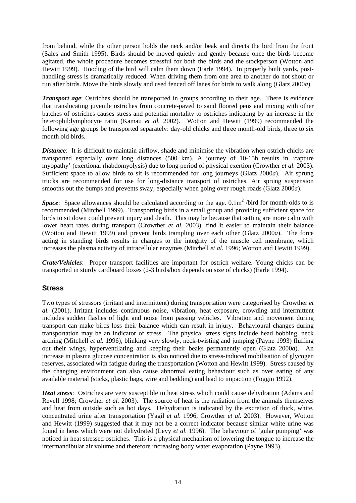from behind, while the other person holds the neck and/or beak and directs the bird from the front (Sales and Smith 1995). Birds should be moved quietly and gently because once the birds become agitated, the whole procedure becomes stressful for both the birds and the stockperson (Wotton and Hewitt 1999). Hooding of the bird will calm them down (Earle 1994). In properly built yards, posthandling stress is dramatically reduced. When driving them from one area to another do not shout or run after birds. Move the birds slowly and used fenced off lanes for birds to walk along (Glatz 2000*a*).

*Transport age:* Ostriches should be transported in groups according to their age. There is evidence that translocating juvenile ostriches from concrete-paved to sand floored pens and mixing with other batches of ostriches causes stress and potential mortality to ostriches indicating by an increase in the heterophil:lymphocyte ratio (Kamau *et al.* 2002). Wotton and Hewitt (1999) recommended the following age groups be transported separately: day-old chicks and three month-old birds, three to six month old birds.

*Distance*: It is difficult to maintain airflow, shade and minimise the vibration when ostrich chicks are transported especially over long distances (500 km). A journey of 10-15h results in 'capture myopathy' (exertional rhabdomyolysis) due to long period of physical exertion (Crowther *et al.* 2003). Sufficient space to allow birds to sit is recommended for long journeys (Glatz 2000*a*). Air sprung trucks are recommended for use for long-distance transport of ostriches. Air sprung suspension smooths out the bumps and prevents sway, especially when going over rough roads (Glatz 2000*a*).

**Space**: Space allowances should be calculated according to the age.  $0.1 \text{m}^2$  /bird for month-olds to is recommended (Mitchell 1999). Transporting birds in a small group and providing sufficient space for birds to sit down could prevent injury and death. This may be because that setting are more calm with lower heart rates during transport (Crowther *et al.* 2003), find it easier to maintain their balance (Wotton and Hewitt 1999) and prevent birds trampling over each other (Glatz 2000*a*). The force acting in standing birds results in changes to the integrity of the muscle cell membrane, which increases the plasma activity of intracellular enzymes (Mitchell *et al.* 1996; Wotton and Hewitt 1999).

*Crate/Vehicles*: Proper transport facilities are important for ostrich welfare. Young chicks can be transported in sturdy cardboard boxes (2-3 birds/box depends on size of chicks) (Earle 1994).

#### **Stress**

Two types of stressors (irritant and intermittent) during transportation were categorised by Crowther *et al.* (2001). Irritant includes continuous noise, vibration, heat exposure, crowding and intermittent includes sudden flashes of light and noise from passing vehicles. Vibration and movement during transport can make birds loss their balance which can result in injury. Behavioural changes during transportation may be an indicator of stress. The physical stress signs include head bobbing, neck arching (Mitchell *et al.* 1996), blinking very slowly, neck-twisting and jumping (Payne 1993) fluffing out their wings, hyperventilating and keeping their beaks permanently open (Glatz 2000*a*). An increase in plasma glucose concentration is also noticed due to stress-induced mobilisation of glycogen reserves, associated with fatigue during the transportation (Wotton and Hewitt 1999). Stress caused by the changing environment can also cause abnormal eating behaviour such as over eating of any available material (sticks, plastic bags, wire and bedding) and lead to impaction (Foggin 1992).

*Heat stress*: Ostriches are very susceptible to heat stress which could cause dehydration (Adams and Revell 1998; Crowther *et al.* 2003). The source of heat is the radiation from the animals themselves and heat from outside such as hot days. Dehydration is indicated by the excretion of thick, white, concentrated urine after transportation (Yagil *et al.* 1996, Crowther *et al.* 2003). However, Wotton and Hewitt (1999) suggested that it may not be a correct indicator because similar white urine was found in hens which were not dehydrated (Levy *et al.* 1996). The behaviour of 'gular pumping' was noticed in heat stressed ostriches. This is a physical mechanism of lowering the tongue to increase the intermandibular air volume and therefore increasing body water evaporation (Payne 1993).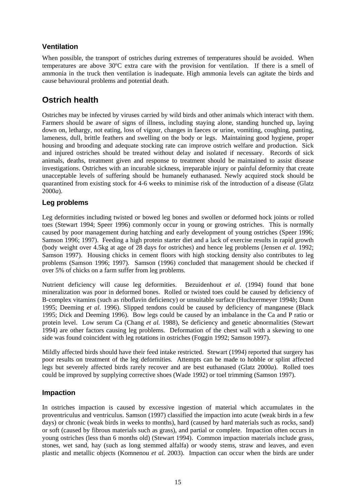#### **Ventilation**

When possible, the transport of ostriches during extremes of temperatures should be avoided. When temperatures are above 30ºC extra care with the provision for ventilation. If there is a smell of ammonia in the truck then ventilation is inadequate. High ammonia levels can agitate the birds and cause behavioural problems and potential death.

# **Ostrich health**

Ostriches may be infected by viruses carried by wild birds and other animals which interact with them. Farmers should be aware of signs of illness, including staying alone, standing hunched up, laying down on, lethargy, not eating, loss of vigour, changes in faeces or urine, vomiting, coughing, panting, lameness, dull, brittle feathers and swelling on the body or legs. Maintaining good hygiene, proper housing and brooding and adequate stocking rate can improve ostrich welfare and production. Sick and injured ostriches should be treated without delay and isolated if necessary. Records of sick animals, deaths, treatment given and response to treatment should be maintained to assist disease investigations. Ostriches with an incurable sickness, irreparable injury or painful deformity that create unacceptable levels of suffering should be humanely euthanased. Newly acquired stock should be quarantined from existing stock for 4-6 weeks to minimise risk of the introduction of a disease (Glatz 2000*a*).

#### **Leg problems**

Leg deformities including twisted or bowed leg bones and swollen or deformed hock joints or rolled toes (Stewart 1994; Speer 1996) commonly occur in young or growing ostriches. This is normally caused by poor management during hatching and early development of young ostriches (Speer 1996; Samson 1996; 1997). Feeding a high protein starter diet and a lack of exercise results in rapid growth (body weight over 4.5kg at age of 28 days for ostriches) and hence leg problems (Jensen *et al.* 1992; Samson 1997). Housing chicks in cement floors with high stocking density also contributes to leg problems (Samson 1996; 1997). Samson (1996) concluded that management should be checked if over 5% of chicks on a farm suffer from leg problems.

Nutrient deficiency will cause leg deformities. Bezuidenhout *et al.* (1994) found that bone mineralization was poor in deformed bones. Rolled or twisted toes could be caused by deficiency of B-complex vitamins (such as riboflavin deficiency) or unsuitable surface (Huchzermeyer 1994*b*; Dunn 1995; Deeming *et al*. 1996). Slipped tendons could be caused by deficiency of manganese (Black 1995; Dick and Deeming 1996). Bow legs could be caused by an imbalance in the Ca and P ratio or protein level. Low serum Ca (Chang *et al.* 1988), Se deficiency and genetic abnormalities (Stewart 1994) are other factors causing leg problems. Deformation of the chest wall with a skewing to one side was found coincident with leg rotations in ostriches (Foggin 1992; Samson 1997).

Mildly affected birds should have their feed intake restricted. Stewart (1994) reported that surgery has poor results on treatment of the leg deformities. Attempts can be made to hobble or splint affected legs but severely affected birds rarely recover and are best euthanased (Glatz 2000*a*). Rolled toes could be improved by supplying corrective shoes (Wade 1992) or toel trimming (Samson 1997).

#### **Impaction**

In ostriches impaction is caused by excessive ingestion of material which accumulates in the proventriculus and ventriculus. Samson (1997) classified the impaction into acute (weak birds in a few days) or chronic (weak birds in weeks to months), hard (caused by hard materials such as rocks, sand) or soft (caused by fibrous materials such as grass), and partial or complete. Impaction often occurs in young ostriches (less than 6 months old) (Stewart 1994). Common impaction materials include grass, stones, wet sand, hay (such as long stemmed alfalfa) or woody stems, straw and leaves, and even plastic and metallic objects (Komnenou *et al.* 2003). Impaction can occur when the birds are under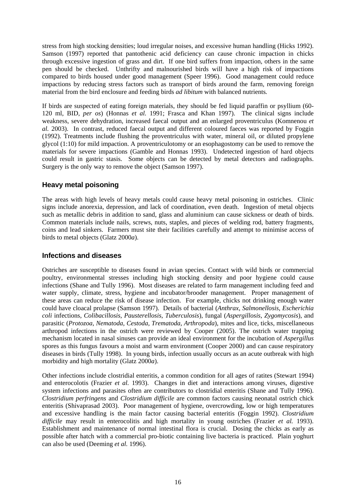stress from high stocking densities; loud irregular noises, and excessive human handling (Hicks 1992). Samson (1997) reported that pantothenic acid deficiency can cause chronic impaction in chicks through excessive ingestion of grass and dirt. If one bird suffers from impaction, others in the same pen should be checked. Unthrifty and malnourished birds will have a high risk of impactions compared to birds housed under good management (Speer 1996). Good management could reduce impactions by reducing stress factors such as transport of birds around the farm, removing foreign material from the bird enclosure and feeding birds *ad libitum* with balanced nutrients*.*

If birds are suspected of eating foreign materials, they should be fed liquid paraffin or psyllium (60- 120 ml, BID, *per os*) (Honnas *et al.* 1991; Frasca and Khan 1997). The clinical signs include weakness, severe dehydration, increased faecal output and an enlarged proventriculus (Komnenou *et al.* 2003). In contrast, reduced faecal output and different coloured faeces was reported by Foggin (1992). Treatments include flushing the proventriculus with water, mineral oil, or diluted propylene glycol (1:10) for mild impaction. A proventriculotomy or an esophagostomy can be used to remove the materials for severe impactions (Gamble and Honnas 1993). Undetected ingestion of hard objects could result in gastric stasis. Some objects can be detected by metal detectors and radiographs. Surgery is the only way to remove the object (Samson 1997).

#### **Heavy metal poisoning**

The areas with high levels of heavy metals could cause heavy metal poisoning in ostriches. Clinic signs include anorexia, depression, and lack of coordination, even death. Ingestion of metal objects such as metallic debris in addition to sand, glass and aluminium can cause sickness or death of birds. Common materials include nails, screws, nuts, staples, and pieces of welding rod, battery fragments, coins and lead sinkers. Farmers must site their facilities carefully and attempt to minimise access of birds to metal objects (Glatz 2000*a*).

#### **Infections and diseases**

Ostriches are susceptible to diseases found in avian species. Contact with wild birds or commercial poultry, environmental stresses including high stocking density and poor hygiene could cause infections (Shane and Tully 1996). Most diseases are related to farm management including feed and water supply, climate, stress, hygiene and incubator/brooder management. Proper management of these areas can reduce the risk of disease infection. For example, chicks not drinking enough water could have cloacal prolapse (Samson 1997). Details of bacterial (*Anthrax*, *Salmonellosis*, *Escherichia coli* infections, *Colibacillosis*, *Pausterellosis*, *Tuberculosis*), fungal (*Aspergillosis*, *Zygomycosis*), and parasitic (*Protozoa*, *Nematoda*, *Cestoda*, *Trematoda*, *Arthropoda*), mites and lice, ticks, miscellaneous arthropod infections in the ostrich were reviewed by Cooper (2005). The ostrich water trapping mechanism located in nasal sinuses can provide an ideal environment for the incubation of *Aspergillus* spores as this fungus favours a moist and warm environment (Cooper 2000) and can cause respiratory diseases in birds (Tully 1998). In young birds, infection usually occurs as an acute outbreak with high morbidity and high mortality (Glatz 2000*a*).

Other infections include clostridial enteritis, a common condition for all ages of ratites (Stewart 1994) and enterocolotis (Frazier *et al.* 1993). Changes in diet and interactions among viruses, digestive system infections and parasites often are contributors to clostridial enteritis (Shane and Tully 1996). *Clostridium perfringens* and *Clostridium difficile* are common factors causing neonatal ostrich chick enteritis (Shivaprasad 2003). Poor management of hygiene, overcrowding, low or high temperatures and excessive handling is the main factor causing bacterial enteritis (Foggin 1992). *Clostridium difficile* may result in enterocolitis and high mortality in young ostriches (Frazier *et al.* 1993). Establishment and maintenance of normal intestinal flora is crucial. Dosing the chicks as early as possible after hatch with a commercial pro-biotic containing live bacteria is practiced. Plain yoghurt can also be used (Deeming *et al.* 1996).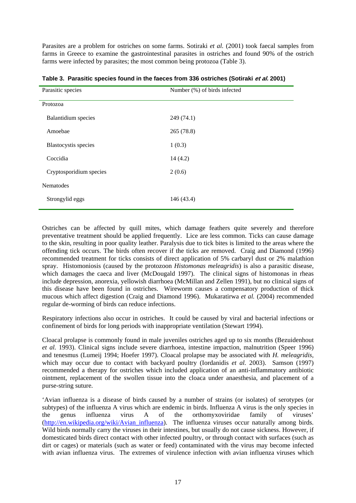Parasites are a problem for ostriches on some farms. Sotiraki *et al.* (2001) took faecal samples from farms in Greece to examine the gastrointestinal parasites in ostriches and found 90% of the ostrich farms were infected by parasites; the most common being protozoa (Table 3).

| Parasitic species       | Number (%) of birds infected |
|-------------------------|------------------------------|
| Protozoa                |                              |
| Balantidium species     | 249(74.1)                    |
| Amoebae                 | 265 (78.8)                   |
| Blastocystis species    | 1(0.3)                       |
| Coccidia                | 14(4.2)                      |
| Cryptosporidium species | 2(0.6)                       |
| Nematodes               |                              |
| Strongylid eggs         | 146 (43.4)                   |

**Table 3. Parasitic species found in the faeces from 336 ostriches (Sotiraki et al. 2001)** 

Ostriches can be affected by quill mites, which damage feathers quite severely and therefore preventative treatment should be applied frequently. Lice are less common. Ticks can cause damage to the skin, resulting in poor quality leather. Paralysis due to tick bites is limited to the areas where the offending tick occurs. The birds often recover if the ticks are removed. Craig and Diamond (1996) recommended treatment for ticks consists of direct application of 5% carbaryl dust or 2% malathion spray. Histomoniosis (caused by the protozoon *Histomonas meleagridis*) is also a parasitic disease, which damages the caeca and liver (McDougald 1997). The clinical signs of histomonas in rheas include depression, anorexia, yellowish diarrhoea (McMillan and Zellen 1991), but no clinical signs of this disease have been found in ostriches. Wireworm causes a compensatory production of thick mucous which affect digestion (Craig and Diamond 1996). Mukaratirwa *et al.* (2004) recommended regular de-worming of birds can reduce infections.

Respiratory infections also occur in ostriches. It could be caused by viral and bacterial infections or confinement of birds for long periods with inappropriate ventilation (Stewart 1994).

Cloacal prolapse is commonly found in male juveniles ostriches aged up to six months (Bezuidenhout *et al.* 1993). Clinical signs include severe diarrhoea, intestine impaction, malnutrition (Speer 1996) and tenesmus (Lumeij 1994; Hoefer 1997). Cloacal prolapse may be associated with *H. meleagridis*, which may occur due to contact with backyard poultry (Iordanidis *et al.* 2003). Samson (1997) recommended a therapy for ostriches which included application of an anti-inflammatory antibiotic ointment, replacement of the swollen tissue into the cloaca under anaesthesia, and placement of a purse-string suture.

'Avian influenza is a disease of birds caused by a number of strains (or isolates) of serotypes (or subtypes) of the influenza A virus which are endemic in birds. Influenza A virus is the only species in the genus influenza virus A of the orthomyxoviridae family of viruses' (http://en.wikipedia.org/wiki/Avian\_influenza). The influenza viruses occur naturally among birds. Wild birds normally carry the viruses in their intestines, but usually do not cause sickness. However, if domesticated birds direct contact with other infected poultry, or through contact with surfaces (such as dirt or cages) or materials (such as water or feed) contaminated with the virus may become infected with avian influenza virus. The extremes of virulence infection with avian influenza viruses which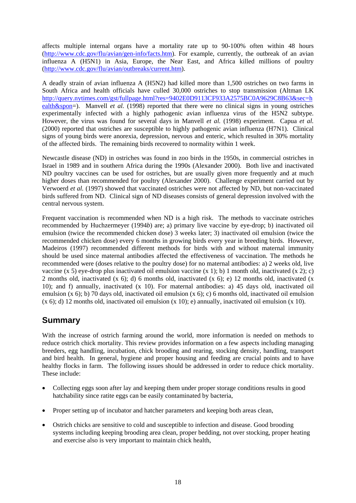affects multiple internal organs have a mortality rate up to 90-100% often within 48 hours (http://www.cdc.gov/flu/avian/gen-info/facts.htm). For example, currently, the outbreak of an avian influenza A (H5N1) in Asia, Europe, the Near East, and Africa killed millions of poultry (http://www.cdc.gov/flu/avian/outbreaks/current.htm).

A deadly strain of avian influenza A (H5N2) had killed more than 1,500 ostriches on two farms in South Africa and health officials have culled 30,000 ostriches to stop transmission (Altman LK http://query.nytimes.com/gst/fullpage.html?res=9402E0D9113CF933A2575BC0A9629C8B63&sec=h ealth&spon=). Manvell *et al.* (1998) reported that there were no clinical signs in young ostriches experimentally infected with a highly pathogenic avian influenza virus of the H5N2 subtype. However, the virus was found for several days in Manvell *et al.* (1998) experiment. Capua *et al.* (2000) reported that ostriches are susceptible to highly pathogenic avian influenza (H7N1). Clinical signs of young birds were anorexia, depression, nervous and enteric, which resulted in 30% mortality of the affected birds. The remaining birds recovered to normality within 1 week.

Newcastle disease (ND) in ostriches was found in zoo birds in the 1950s, in commercial ostriches in Israel in 1989 and in southern Africa during the 1990s (Alexander 2000). Both live and inactivated ND poultry vaccines can be used for ostriches, but are usually given more frequently and at much higher doses than recommended for poultry (Alexander 2000). Challenge experiment carried out by Verwoerd *et al.* (1997) showed that vaccinated ostriches were not affected by ND, but non-vaccinated birds suffered from ND. Clinical sign of ND diseases consists of general depression involved with the central nervous system.

Frequent vaccination is recommended when ND is a high risk. The methods to vaccinate ostriches recommended by Huchzermeyer (1994*b*) are; a) primary live vaccine by eye-drop; b) inactivated oil emulsion (twice the recommended chicken dose) 3 weeks later; 3) inactivated oil emulsion (twice the recommended chicken dose) every 6 months in growing birds every year in breeding birds. However, Madeiros (1997) recommended different methods for birds with and without maternal immunity should be used since maternal antibodies affected the effectiveness of vaccination. The methods he recommended were (doses relative to the poultry dose) for no maternal antibodies: a) 2 weeks old, live vaccine (x 5) eye-drop plus inactivated oil emulsion vaccine  $(x 1)$ ; b) 1 month old, inactivated  $(x 2)$ ; c) 2 months old, inactivated (x 6); d) 6 months old, inactivated (x 6); e) 12 months old, inactivated (x 10); and f) annually, inactivated (x 10). For maternal antibodies: a) 45 days old, inactivated oil emulsion (x 6); b) 70 days old, inactivated oil emulsion (x 6); c) 6 months old, inactivated oil emulsion  $(x 6)$ ; d) 12 months old, inactivated oil emulsion  $(x 10)$ ; e) annually, inactivated oil emulsion  $(x 10)$ .

# **Summary**

With the increase of ostrich farming around the world, more information is needed on methods to reduce ostrich chick mortality. This review provides information on a few aspects including managing breeders, egg handling, incubation, chick brooding and rearing, stocking density, handling, transport and bird health. In general, hygiene and proper housing and feeding are crucial points and to have healthy flocks in farm. The following issues should be addressed in order to reduce chick mortality. These include:

- Collecting eggs soon after lay and keeping them under proper storage conditions results in good hatchability since ratite eggs can be easily contaminated by bacteria,
- Proper setting up of incubator and hatcher parameters and keeping both areas clean,
- Ostrich chicks are sensitive to cold and susceptible to infection and disease. Good brooding systems including keeping brooding area clean, proper bedding, not over stocking, proper heating and exercise also is very important to maintain chick health,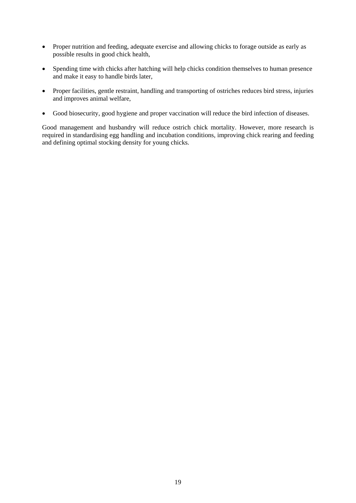- Proper nutrition and feeding, adequate exercise and allowing chicks to forage outside as early as possible results in good chick health,
- Spending time with chicks after hatching will help chicks condition themselves to human presence and make it easy to handle birds later,
- Proper facilities, gentle restraint, handling and transporting of ostriches reduces bird stress, injuries and improves animal welfare,
- Good biosecurity, good hygiene and proper vaccination will reduce the bird infection of diseases.

Good management and husbandry will reduce ostrich chick mortality. However, more research is required in standardising egg handling and incubation conditions, improving chick rearing and feeding and defining optimal stocking density for young chicks.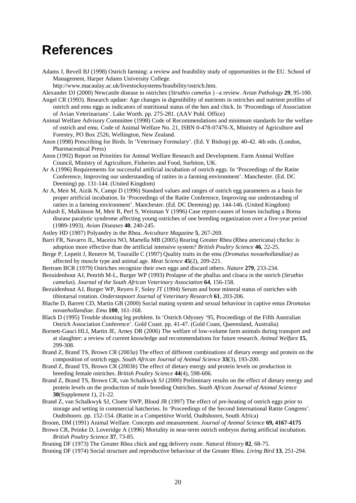# **References**

Adams J, Revell BJ (1998) Ostrich farming: a review and feasibility study of opportunities in the EU. School of Management, Harper Adams University College.

http://www.macaulay.ac.uk/livestocksystems/feasibility/ostrich.htm.

- Alexander DJ (2000) Newcastle disease in ostriches (*Struthio camelus* ) –a review. *Avian Pathology* **29**, 95-100.
- Angel CR (1993). Research update: Age changes in digestibility of nutrients in ostriches and nutrient profiles of ostrich and emu eggs as indicators of nutritional status of the hen and chick. In 'Proceedings of Association of Avian Veterinarians'. Lake Worth. pp. 275-281. (AAV Publ. Office)
- Animal Welfare Advisory Committee (1998) Code of Recommendations and minimum standards for the welfare of ostrich and emu. Code of Animal Welfare No. 21, ISBN 0-478-07476-X, Ministry of Agriculture and Forestry, PO Box 2526, Wellington, New Zealand.
- Anon (1998) Prescribing for Birds. In 'Veterinary Formulary'. (Ed. Y Bishop) pp. 40-42. 4th edn. (London, Pharmaceutical Press)
- Anon (1992) Report on Priorities for Animal Welfare Research and Development. Farm Animal Welfare Council, Ministry of Agriculture, Fisheries and Food, Surbiton, UK.
- Ar A (1996) Requirements for successful artificial incubation of ostrich eggs. In 'Proceedings of the Ratite Conference, Improving our understanding of ratites in a farming environment'. Manchester. (Ed. DC Deeming) pp. 131-144. (United Kingdom)
- Ar A, Meir M, Aizik N, Campi D (1996) Standard values and ranges of ostrich egg parameters as a basis for proper artificial incubation. In 'Proceedings of the Ratite Conference, Improving our understanding of ratites in a farming environment'. Manchester. (Ed. DC Deeming) pp. 144-146. (United Kingdom)
- Ashash E, Malkinson M, Meir R, Perl S, Weisman Y (1996) Case report*-*causes of losses including a Borna disease paralytic syndrome affecting young ostriches of one breeding organization over a five-year period (1989-1993). *Avian Diseases* **40**, 240-245.
- Astley HD (1907) Polyandry in the Rhea. *Aviculture Magazine* **5**, 267-269.
- Barri FR, Navarro JL, Maceira NO, Martella MB (2005) Rearing Greater Rhea (Rhea americana) chicks: is adoption more effective than the artificial intensive system? *British Poultry Science* **46**, 22-25.
- Berge P, Lepetit J, Renerre M, Touraille C (1997) Quality traits in the emu *(Dromaius novaehollandiae)* as affected by muscle type and animal age. *Meat Science* **45**(2), 209-221.
- Bertram BCR (1979) Ostriches recognize their own eggs and discard others. *Nature* **279**, 233-234.
- Bezuidenhout AJ, Penrith M-L, Burger WP (1993) Prolapse of the phallus and cloaca in the ostrich (*Struthio camelus*). *Journal of the South African Veterinary Association* **64**, 156-158.
- Bezuidenhout AJ, Burger WP, Reyers F, Soley JT (1994) Serum and bone mineral status of ostriches with tibiotarsal rotation. *Onderstepoort Journal of Veterinary Research* **61**, 203-206.
- Blache D, Barrett CD, Martin GB (2000) Social mating system and sexual behaviour in captive emus *Dromaius novaehollandiae. Emu* **100**, 161-168.
- Black D (1995) Trouble shooting leg problem. In 'Ostrich Odyssey '95, Proceedings of the Fifth Australian Ostrich Association Conference'. Gold Coast. pp. 41-47. (Gold Coast, Queensland, Australia)
- Bornett-Gauci HLI, Martin JE, Arney DR (2006) The welfare of low-volume farm animals during transport and at slaughter: a review of current knowledge and recommendations for future research. *Animal Welfare* **15**, 299-308.
- Brand Z, Brand TS, Brown CR (2003*a*) The effect of different combinations of dietary energy and protein on the composition of ostrich eggs. *South African Journal of Animal Science* **33**(3), 193-200.
- Brand Z, Brand TS, Brown CR (2003*b*) The effect of dietary energy and protein levels on production in breeding female ostriches. *British Poultry Science* **44**(4), 598-606.
- Brand Z, Brand TS, Brown CR, van Schalkwyk SJ (2000) Preliminary results on the effect of dietary energy and protein levels on the production of male breeding Ostriches. *South African Journal of Animal Science* **30**(Supplement 1), 21-22.
- Brand Z, van Schalkwyk SJ, Cloete SWP, Blood JR (1997) The effect of pre-heating of ostrich eggs prior to storage and setting in commercial hatcheries. In 'Proceedings of the Second International Ratite Congress'. Oudtshoorn. pp. 152-154. (Ratite in a Competitive World, Oudtshoorn, South Africa)

Broom, DM (1991) Animal Welfare. Concepts and measurement. *Journal of Animal Science* **69, 4167-4175** 

- Brown CR, Peinke D, Loveridge A (1996) Mortality in near-term ostrich embryos during artificial incubation. *British Poultry Science* **37**, 73-85.
- Bruning DF (1973) The Greater Rhea chick and egg delivery route. *Natural History* **82**, 68-75.

Bruning DF (1974) Social structure and reproductive behaviour of the Greater Rhea. *Living Bird* **13**, 251-294.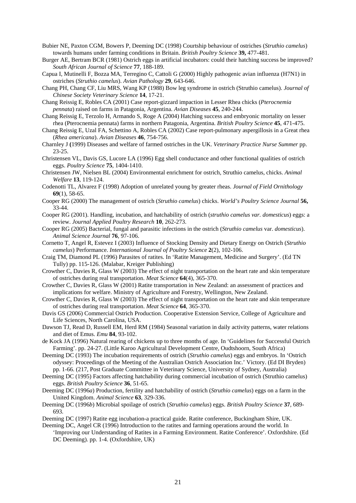Bubier NE, Paxton CGM, Bowers P, Deeming DC (1998) Courtship behaviour of ostriches (*Struthio camelus*) towards humans under farming conditions in Britain. *British Poultry Science* **39,** 477-481.

- Burger AE, Bertram BCR (1981) Ostrich eggs in artificial incubators: could their hatching success be improved? *South African Journal of Science* **77**, 188-189.
- Capua I, Mutinelli F, Bozza MA, Terregino C, Cattoli G (2000) Highly pathogenic avian influenza (H7N1) in ostriches (*Struthio camelus*). *Avian Pathology* **29**, 643-646.
- Chang PH, Chang CF, Liu MRS, Wang KP (1988) Bow leg syndrome in ostrich (Struthio camelus). *Journal of Chinese Society Veterinary Science* **14**, 17-21.
- Chang Reissig E, Robles CA (2001) Case report*-*gizzard impaction in Lesser Rhea chicks (*Pterocnemia pennata*) raised on farms in Patagonia, Argentina. *Avian Diseases* **45**, 240-244.
- Chang Reissig E, Terzolo H, Armando S, Roge A (2004) Hatching success and embryonic mortality on lesser rhea (Pterocnemia pennata) farms in northern Patagonia, Argentina. *British Poultry Science* **45**, 471-475.
- Chang Reissig E, Uzal FA, Schettino A, Robles CA (2002) Case report*-*pulmonary aspergillosis in a Great rhea (*Rhea americana*). *Avian Diseases* **46**, 754-756.
- Charnley J **(**1999) Diseases and welfare of farmed ostriches in the UK. *Veterinary Practice Nurse Summer* pp. 23-25.
- Christensen VL, Davis GS, Lucore LA (1996) Egg shell conductance and other functional qualities of ostrich eggs. *Poultry Science* **75**, 1404-1410.
- Christensen JW, Nielsen BL (2004) Environmental enrichment for ostrich, Struthio camelus, chicks. *Animal Welfare* **13**, 119-124.
- Codenotti TL, Alvarez F (1998) Adoption of unrelated young by greater rheas. *Journal of Field Ornithology* **69**(1), 58-65.
- Cooper RG (2000) The management of ostrich (*Struthio camelus*) chicks. *World's Poultry Science Journal* **56,**  33-44.
- Cooper RG (2001). Handling, incubation, and hatchability of ostrich (*struthio camelus var. domesticus*) eggs: a review. *Journal Applied Poultry Research* **10**, 262-273.
- Cooper RG (2005) Bacterial, fungal and parasitic infections in the ostrich (*Struthio camelus* var. *domesticus*). *Animal Science Journal* **76**, 97-106.
- Cornetto T, Angel R, Estevez I (2003) Influence of Stocking Density and Dietary Energy on Ostrich (*Struthio camelus*) Performance. *International Journal of Poultry Science* **2**(2), 102-106.
- Craig TM, Diamond PL (1996) Parasites of ratites. In 'Ratite Management, Medicine and Surgery'. (Ed TN Tully) pp. 115-126. (Malabar, Kreiger Publishing)
- Crowther C, Davies R, Glass W (2003) The effect of night transportation on the heart rate and skin temperature of ostriches during real transportation. *Meat Science* **64**(4), 365-370.
- Crowther C, Davies R, Glass W (2001) Ratite transportation in New Zealand: an assessment of practices and implications for welfare. Ministry of Agriculture and Forestry, Wellington, New Zealand.
- Crowther C, Davies R, Glass W (2003) The effect of night transportation on the heart rate and skin temperature of ostriches during real transportation. *Meat Science* **64**, 365-370.
- Davis GS (2006) Commercial Ostrich Production. Cooperative Extension Service, College of Agriculture and Life Sciences, North Carolina, USA.
- Dawson TJ, Read D, Russell EM, Herd RM (1984) Seasonal variation in daily activity patterns, water relations and diet of Emus. *Emu* **84**, 93-102.
- de Kock JA (1996) Natural rearing of chickens up to three months of age. In 'Guidelines for Successful Ostrich Farming'. pp. 24-27. (Little Karoo Agricultural Development Centre, Oudtshoorn, South Africa)
- Deeming DC (1993) The incubation requirements of ostrich (*Struthio camelus*) eggs and embryos. In 'Ostrich odyssey: Proceedings of the Meeting of the Australian Ostrich Association Inc.' Victory. (Ed DI Bryden) pp. 1-66. (217, Post Graduate Committee in Veterinary Science, University of Sydney, Australia)
- Deeming DC (1995) Factors affecting hatchability during commercial incubation of ostrich (Struthio camelus) eggs. *British Poultry Science* **36**, 51-65.
- Deeming DC (1996*a*) Production, fertility and hatchability of ostrich (*Struthio camelus*) eggs on a farm in the United Kingdom. *Animal Science* **63**, 329-336.
- Deeming DC (1996*b*) Microbial spoilage of ostrich (*Struthio camelus*) eggs. *British Poultry Science* **37**, 689- 693.
- Deeming DC (1997) Ratite egg incubation-a practical guide. Ratite conference, Buckingham Shire, UK. Deeming DC, Angel CR (1996) Introduction to the ratites and farming operations around the world. In
- 'Improving our Understanding of Ratites in a Farming Environment. Ratite Conference'. Oxfordshire. (Ed DC Deeming). pp. 1-4. (Oxfordshire, UK)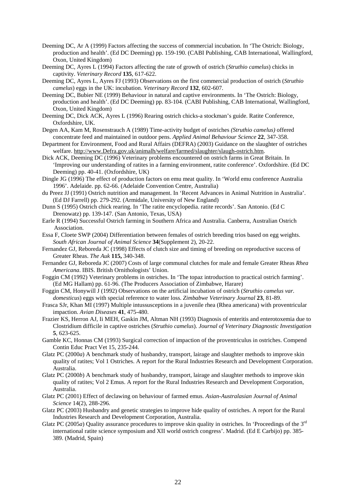- Deeming DC, Ar A (1999) Factors affecting the success of commercial incubation. In 'The Ostrich: Biology, production and health'. (Ed DC Deeming) pp. 159-190. (CABI Publishing, CAB International, Wallingford, Oxon, United Kingdom)
- Deeming DC, Ayres L (1994) Factors affecting the rate of growth of ostrich (*Struthio camelus*) chicks in captivity. *Veterinary Record* **135**, 617-622.
- Deeming DC, Ayres L, Ayres FJ (1993) Observations on the first commercial production of ostrich (*Struthio camelus*) eggs in the UK: incubation. *Veterinary Record* **132**, 602-607.
- Deeming DC, Bubier NE (1999) Behaviour in natural and captive environments. In 'The Ostrich: Biology, production and health'. (Ed DC Deeming) pp. 83-104. (CABI Publishing, CAB International, Wallingford, Oxon, United Kingdom)
- Deeming DC, Dick ACK, Ayres L (1996) Rearing ostrich chicks-a stockman's guide. Ratite Conference, Oxfordshire, UK.
- Degen AA, Kam M, Rosenstrauch A (1989) Time-activity budget of ostriches *(Struthio camelus)* offered concentrate feed and maintained in outdoor pens. *Applied Animal Behaviour Science* **22**, 347-358.
- Department for Environment, Food and Rural Affairs (DEFRA) (2003) Guidance on the slaughter of ostriches welfare. http://www.Defra.gov.uk/animalh/welfare/farmed/slaughter/slaugh-ostrich.htm.
- Dick ACK, Deeming DC (1996) Veterinary problems encountered on ostrich farms in Great Britain. In 'Improving our understanding of ratites in a farming environment, ratite conference'. Oxfordshire. (Ed DC Deeming) pp. 40-41. (Oxfordshire, UK)
- Dingle JG (1996) The effect of production factors on emu meat quality. In 'World emu conference Australia 1996'. Adelaide. pp. 62-66. (Adelaide Convention Centre, Australia)
- du Preez JJ (1991) Ostrich nutrition and management. In 'Recent Advances in Animal Nutrition in Australia'. (Ed DJ Farrell) pp. 279-292. (Armidale, University of New England)
- Dunn S (1995) Ostrich chick rearing. In 'The ratite encyclopedia. ratite records'. San Antonio. (Ed C Drenowatz) pp. 139-147. (San Antonio, Texas, USA)
- Earle R (1994) Successful Ostrich farming in Southern Africa and Australia. Canberra, Australian Ostrich Association.
- Essa F, Cloete SWP (2004) Differentiation between females of ostrich breeding trios based on egg weights. *South African Journal of Animal Science* **34**(Supplement 2), 20-22.

Fernandez GJ, Reboreda JC (1998) Effects of clutch size and timing of breeding on reproductive success of Greater Rheas. *The Auk* **115,** 340-348.

- Fernandez GJ, Reboreda JC (2007) Costs of large communal clutches for male and female Greater Rheas *Rhea Americana*. IBIS. British Ornithologists' Union.
- Foggin CM (1992) Veterinary problems in ostriches. In 'The topaz introduction to practical ostrich farming'. (Ed MG Hallam) pp. 61-96. (The Producers Association of Zimbabwe, Harare)
- Foggin CM, Honywill J (1992) Observations on the artificial incubation of ostrich (*Struthio camelus var. domesticus*) eggs with special reference to water loss. *Zimbabwe Veterinary Journal* **23**, 81-89.
- Frasca SJr, Khan MI (1997) Multiple intussusceptions in a juvenile rhea (Rhea americana) with proventricular impaction. *Avian Diseases* **41**, 475-480.
- Frazier KS, Herron AJ, Ii MEH, Gaskin JM, Altman NH (1993) Diagnosis of enteritis and enterotoxemia due to Clostridium difficile in captive ostriches (*Struthio camelus*). *Journal of Veterinary Diagnostic Investigation* **5**, 623-625.
- Gamble KC, Honnas CM (1993) Surgical correction of impaction of the proventriculus in ostriches. Compend Contin Educ Pract Vet 15, 235-244.
- Glatz PC (2000*a*) A benchmark study of husbandry, transport, lairage and slaughter methods to improve skin quality of ratites; Vol 1 Ostriches. A report for the Rural Industries Research and Development Corporation. Australia.
- Glatz PC (2000*b*) A benchmark study of husbandry, transport, lairage and slaughter methods to improve skin quality of ratites; Vol 2 Emus. A report for the Rural Industries Research and Development Corporation, Australia.
- Glatz PC (2001) Effect of declawing on behaviour of farmed emus. *Asian-Australasian Journal of Animal Science* 14(2), 288-296.
- Glatz PC (2003) Husbandry and genetic strategies to improve hide quality of ostriches. A report for the Rural Industries Research and Development Corporation, Australia.
- Glatz PC (2005*a*) Quality assurance procedures to improve skin quality in ostriches. In 'Proceedings of the 3<sup>rd</sup> international ratite science symposium and XII world ostrich congress'. Madrid. (Ed E Carbijo) pp. 385- 389. (Madrid, Spain)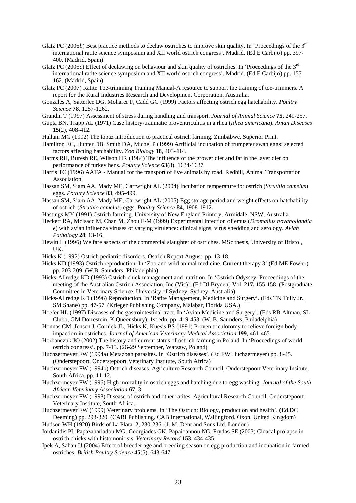- Glatz PC (2005*b*) Best practice methods to declaw ostriches to improve skin quality. In 'Proceedings of the 3<sup>rd</sup> international ratite science symposium and XII world ostrich congress'. Madrid. (Ed E Carbijo) pp. 397- 400. (Madrid, Spain)
- Glatz PC (2005*c*) Effect of declawing on behaviour and skin quality of ostriches. In 'Proceedings of the 3<sup>rd</sup> international ratite science symposium and XII world ostrich congress'. Madrid. (Ed E Carbijo) pp. 157- 162. (Madrid, Spain)
- Glatz PC (2007) Ratite Toe-trimming Training Manual-A resource to support the training of toe-trimmers. A report for the Rural Industries Research and Development Corporation, Australia.
- Gonzales A, Satterlee DG, Moharer F, Cadd GG (1999) Factors affecting ostrich egg hatchability. *Poultry Science* **78**, 1257-1262.
- Grandin T (1997) Assessment of stress during handling and transport. *Journal of Animal Science* **75**, 249-257.

Gupta BN, Trapp AL (1971) Case history-traumatic proventriculitis in a rhea (*Rhea americana*). *Avian Diseases* **15**(2), 408-412.

- Hallam MG (1992) The topaz introduction to practical ostrich farming. Zimbabwe, Superior Print.
- Hamilton EC, Hunter DB, Smith DA, Michel P (1999) Artificial incubation of trumpeter swan eggs: selected factors affecting hatchability. *Zoo Biology* **18**, 403-414.
- Harms RH, Buresh RE, Wilson HR (1984) The influence of the grower diet and fat in the layer diet on performance of turkey hens. *Poultry Science* **63**(8), 1634-1637
- Harris TC (1996) AATA Manual for the transport of live animals by road. Redhill, Animal Transportation Association.
- Hassan SM, Siam AA, Mady ME, Cartwright AL (2004) Incubation temperature for ostrich (*Struthio camelus*) eggs. *Poultry Science* **83**, 495-499.
- Hassan SM, Siam AA, Mady ME, Cartwright AL (2005) Egg storage period and weight effects on hatchability of ostrich (*Struthio camelus*) eggs. *Poultry Science* **84**, 1908-1912.
- Hastings MY (1991) Ostrich farming. University of New England Printery, Armidale, NSW, Australia.
- Heckert RA, McIsacc M, Chan M, Zhou E-M (1999) Experimental infection of emus (*Dromaiius novahollandia e*) with avian influenza viruses of varying virulence: clinical signs, virus shedding and serology. *Avian Pathology* **28**, 13-16.
- Hewitt L (1996) Welfare aspects of the commercial slaughter of ostriches. MSc thesis, University of Bristol, UK.
- Hicks K (1992) Ostrich pediatric disorders. Ostrich Report August. pp. 13-18.
- Hicks KD (1993) Ostrich reproduction. In 'Zoo and wild animal medicine. Current therapy 3' (Ed ME Fowler) pp. 203-209. (W.B. Saunders, Philadelphia)
- Hicks-Allredge KD (1993) Ostrich chick management and nutrition. In 'Ostrich Odyssey: Proceedings of the meeting of the Australian Ostrich Association, Inc (Vic)'. (Ed DI Bryden) Vol. **217,** 155-158. (Postgraduate Committee in Veterinary Science, University of Sydney, Sydney, Australia)
- Hicks-Allredge KD (1996) Reproduction. In 'Ratite Management, Medicine and Surgery'. (Eds TN Tully Jr., SM Shane) pp. 47-57. (Krieger Publishing Company, Malabar, Florida USA.)
- Hoefer HL (1997) Diseases of the gastrointestinal tract. In 'Avian Medicine and Surgery'. (Eds RB Altman, SL Clubb, GM Dorrestein, K Queensbury). 1st edn. pp. 419-453. (W. B. Saunders, Philadelphia)
- Honnas CM, Jensen J, Cornick JL, Hicks K, Kuesis BS (1991) Proven triculotomy to relieve foreign body impaction in ostriches. *Journal of American Veterinary Medical Association* **199**, 461-465.
- Horbanczuk JO (2002) The history and current status of ostrich farming in Poland. In 'Proceedings of world ostrich congress'. pp. 7-13. (26-29 September, Warsaw, Poland)
- Huchzermeyer FW (1994a) Metazoan parasites. In 'Ostrich diseases'. (Ed FW Huchzermeyer) pp. 8-45. (Onderstepoort, Onderstepoort Veterinary Institute, South Africa)
- Huchzermeyer FW (1994b) Ostrich diseases. Agriculture Research Council, Onderstepoort Veterinary Insitute, South Africa. pp. 11-12.
- Huchzermeyer FW (1996) High mortality in ostrich eggs and hatching due to egg washing. *Journal of the South African Veterinary Association* **67**, 3.
- Huchzermeyer FW (1998) Disease of ostrich and other ratites. Agricultural Research Council, Onderstepoort Veterinary Institute, South Africa.
- Huchzermeyer FW (1999) Veterinary problems. In 'The Ostrich: Biology, production and health'. (Ed DC Deeming) pp. 293-320. (CABI Publishing, CAB International, Wallingford, Oxon, United Kingdom)

Hudson WH (1920) Birds of La Plata. **2**, 230-236. (J. M. Dent and Sons Ltd. London)

- Iordanidis PI, Papazahariadou MG, Georgiades GK, Papaioannou NG, Frydas SE (2003) Cloacal prolapse in ostrich chicks with histomoniosis. *Veterinary Record* **153**, 434-435.
- Ipek A, Sahan U (2004) Effect of breeder age and breeding season on egg production and incubation in farmed ostriches. *British Poultry Science* **45**(5), 643-647.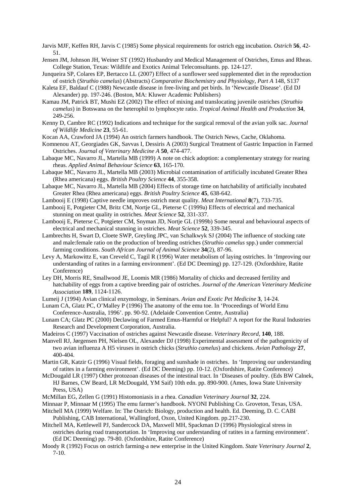Jarvis MJF, Keffen RH, Jarvis C (1985) Some physical requirements for ostrich egg incubation. *Ostrich* **56**, 42- 51.

Jensen JM, Johnson JH, Weiner ST (1992) Husbandry and Medical Management of Ostriches, Emus and Rheas. College Station, Texas: Wildlife and Exotics Animal Teleconsultants. pp. 124-127.

Junqueira SP, Colares EP, Bertacco LL (2007) Effect of a sunflower seed supplemented diet in the reproduction of ostrich (*Struthio camelus*) (Abstracts) *Comparative Biochemistry and Physiology, Part A* 148, S137

- Kaleta EF, Baldauf C (1988) Newcastle disease in free-living and pet birds. In 'Newcastle Disease'. (Ed DJ Alexander) pp. 197-246. (Boston, MA: Kluwer Academic Publishers)
- Kamau JM, Patrick BT, Mushi EZ (2002) The effect of mixing and translocating juvenile ostriches (*Struthio camelus*) in Botswana on the heterophil to lymphocyte ratio. *Tropical Animal Health and Production* **34**, 249-256.
- Kenny D, Cambre RC (1992) Indications and technique for the surgical removal of the avian yolk sac. *Journal of Wildlife Medicine* **23**, 55-61.
- Kocan AA, Crawford JA (1994) An ostrich farmers handbook. The Ostrich News, Cache, Oklahoma.
- Komnenou AT, Georgiades GK, Savvas I, Dessiris A (2003) Surgical Treatment of Gastric Impaction in Farmed Ostriches. *Journal of Veterinary Medicine A* **50**, 474-477.
- Labaque MC, Navarro JL, Martella MB (1999) A note on chick adoption: a complementary strategy for rearing rheas. *Applied Animal Behaviour Science* **63**, 165-170.
- Labaque MC, Navarro JL, Martella MB (2003) Microbial contamination of artificially incubated Greater Rhea (Rhea americana) eggs. *British Poultry Science* **44**, 355-358.
- Labaque MC, Navarro JL, Martella MB (2004) Effects of storage time on hatchability of artificially incubated Greater Rhea (Rhea americana) eggs. *British Poultry Science* **45**, 638-642.
- Lambooij E (1998) Captive needle improves ostrich meat quality. *Meat International* **8**(7), 733-735.
- Lambooij E, Potgieter CM, Britz CM, Nortje GL, Pieterse C (1999a) Effects of electrical and mechanical stunning on meat quality in ostriches*. Meat Science* **52**, 331-337.
- Lambooij E, Pieterse C, Potgieter CM, Snyman JD, Nortje GL (1999b) Some neural and behavioural aspects of electrical and mechanical stunning in ostriches. *Meat Science* **52**, 339-345.
- Lambrechts H, Swart D, Cloete SWP, Greyling JPC, van Schalkwyk SJ (2004) The influence of stocking rate and male:female ratio on the production of breeding ostriches (*Struthio camelus* spp.) under commercial farming conditions. *South African Journal of Animal Science* **34**(2), 87-96.
- Levy A, Markowittz E, van Creveld C, Tagil R (1996) Water metabolism of laying ostriches. In 'Improving our understanding of ratites in a farming environment'. (Ed DC Deeming) pp. 127-129. (Oxfordshire, Ratite Conference)
- Ley DH, Morris RE, Smallwood JE, Loomis MR (1986) Mortality of chicks and decreased fertility and hatchability of eggs from a captive breeding pair of ostriches. *Journal of the American Veterinary Medicine Association* **189**, 1124-1126.
- Lumeij J (1994) Avian clinical enzymology, in Seminars. *Avian and Exotic Pet Medicine* **3**, 14-24.
- Lunam CA, Glatz PC, O'Malley P (1996) The anatomy of the emu toe. In 'Proceedings of World Emu Conference-Australia, 1996'. pp. 90-92. (Adelaide Convention Centre, Australia)
- Lunam CA; Glatz PC (2000) Declawing of Farmed Emus-Harmful or Helpful? A report for the Rural Industries Research and Development Corporation, Australia.
- Madeiros C (1997) Vaccination of ostriches against Newcastle disease. *Veterinary Record,* **140**, 188.
- Manvell RJ, Jørgensen PH, Nielsen OL, Alexander DJ (1998) Experimental assessment of the pathogenicity of two avian influenza A H5 viruses in ostrich chicks (*Struthio camelus*) and chickens. *Avian Pathology* **27**, 400-404.
- Martin GR, Katzir G (1996) Visual fields, foraging and sunshade in ostriches. In 'Improving our understanding of ratites in a farming environment'. (Ed DC Deeming) pp. 10-12. (Oxfordshire, Ratite Conference)
- McDougald LR (1997) Other protozoan diseases of the intestinal tract. In 'Diseases of poultry. (Eds BW Calnek, HJ Barnes, CW Beard, LR McDougald, YM Saif) 10th edn. pp. 890-900. (Ames, Iowa State University Press, USA)
- McMillan EG, Zellen G (1991) Histomoniasis in a rhea. *Canadian Veterinary Journal* **32**, 224.
- Minnaar P, Minnaar M (1995) The emu farmer's handbook. NYONI Publishing Co. Groveton, Texas, USA.
- Mitchell MA (1999) Welfare. In: The Ostrich: Biology, production and health. Ed. Deeming, D. C. CABI Publishing, CAB International, Wallingford, Oxon, United Kingdom. pp.217-230.
- Mitchell MA, Kettlewell PJ, Sandercock DA, Maxwell MH, Spackman D (1996) Physiological stress in ostriches during road transportation. In 'Improving our understanding of ratites in a farming environment'. (Ed DC Deeming) pp. 79-80. (Oxfordshire, Ratite Conference)
- Moody R (1992) Focus on ostrich farming-a new enterprise in the United Kingdom. *State Veterinary Journal* **2**, 7-10.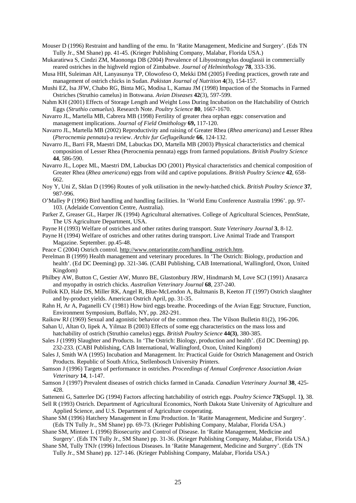Mouser D (1996) Restraint and handling of the emu. In 'Ratite Management, Medicine and Surgery'. (Eds TN Tully Jr., SM Shane) pp. 41-45. (Krieger Publishing Company, Malabar, Florida USA.)

Mukaratirwa S, Cindzi ZM, Maononga DB (2004) Prevalence of Libyostrongylus douglassii in commercially reared ostriches in the highveld region of Zimbabwe. *Journal of Helminthology* **78**, 333-336.

- Musa HH, Suleiman AH, Lanyasunya TP, Olowofeso O, Mekki DM (2005) Feeding practices, growth rate and management of ostrich chicks in Sudan. *Pakistan Journal of Nutrition* **4**(3), 154-157.
- Mushi EZ, Isa JFW, Chabo RG, Binta MG, Modisa L, Kamau JM (1998) Impaction of the Stomachs in Farmed Ostriches (Struthio camelus) in Botswana. *Avian Diseases* **42**(3), 597-599.
- Nahm KH (2001) Effects of Storage Length and Weight Loss During Incubation on the Hatchability of Ostrich Eggs (*Struthio camuelus*). Research Note. *Poultry Science* **80**, 1667-1670.
- Navarro JL, Martella MB, Cabrera MB (1998) Fertility of greater rhea orphan eggs: conservation and management implications. *Journal of Field Omithology* **69,** 117-120.
- Navarro JL, Martella MB (2002) Reproductivity and raising of Greater Rhea (*Rhea americana*) and Lesser Rhea (*Pterocnemia pennata*)-a review. *Archiv fur Geflugelkunde* **66**, 124-132.
- Navarro JL, Barri FR, Maestri DM, Labuckas DO, Martella MB (2003) Physical characteristics and chemical composition of Lesser Rhea (Pterocnemia pennata) eggs from farmed populations. *British Poultry Science* **44**, 586-590.
- Navarro JL, Lopez ML, Maestri DM, Labuckas DO (2001) Physical characteristics and chemical composition of Greater Rhea (*Rhea americana*) eggs from wild and captive populations. *British Poultry Science* **42**, 658- 662.

Noy Y, Uni Z, Sklan D (1996) Routes of yolk utilisation in the newly-hatched chick. *British Poultry Science* **37**, 987-996.

- O'Malley P (1996) Bird handling and handling facilities. In 'World Emu Conference Australia 1996'. pp. 97- 103. (Adelaide Convention Centre, Australia).
- Parker Z, Greaser GL, Harper JK (1994) Agricultural alternatives. College of Agricultural Sciences, PennState, The US Agriculture Department, USA.
- Payne H (1993) Welfare of ostriches and other ratites during transport. *State Veterinary Journal* **3**, 8-12.
- Payne H (1994) Welfare of ostriches and other ratites during transport. Live Animal Trade and Transport Magazine. September. pp.45-48.
- Peace C (2004) Ostrich control. http://www.ontarioratite.com/handling\_ostrich.htm.
- Perelman B (1999) Health management and veterinary procedures. In 'The Ostrich: Biology, production and health'. (Ed DC Deeming) pp. 321-346. (CABI Publishing, CAB International, Wallingford, Oxon, United Kingdom)
- Philbey AW, Button C, Gestier AW, Munro BE, Glastonbury JRW, Hindmarsh M, Love SCJ (1991) Anasarca and myopathy in ostrich chicks. *Australian Veterinary Journal* **68**, 237-240.
- Pollok KD, Hale DS, Miller RK, Angel R, Blue-McLendon A, Baltmanis B, Keeton JT (1997) Ostrich slaughter and by-product yields. American Ostrich April, pp. 31-35.
- Rahn H, Ar A, Paganelli CV (1981) How bird eggs breathe. Proceedings of the Avian Egg: Structure, Function, Environment Symposium, Buffalo, NY, pp. 282-291.
- Raikow RJ (1969) Sexual and agonistic behavior of the common rhea. The Vilson Bulletin 81(2), 196-206.

Sahan U, Altan O, Iipek A, Yilmaz B (2003) Effects of some egg characteristics on the mass loss and hatchability of ostrich (Struthio camelus) eggs. *British Poultry Science* **44(3)**, 380-385.

Sales J (1999) Slaughter and Products. In 'The Ostrich: Biology, production and health'. (Ed DC Deeming) pp. 232-233. (CABI Publishing, CAB International, Wallingford, Oxon, United Kingdom)

Sales J, Smith WA (1995) Incubation and Management. In: Practical Guide for Ostrich Management and Ostrich Products. Republic of South Africa, Stellenbosch University Printers.

- Samson J (1996) Targets of performance in ostriches. *Proceedings of Annual Conference Association Avian Veterinary* **14**, 1-147.
- Samson J (1997) Prevalent diseases of ostrich chicks farmed in Canada. *Canadian Veterinary Journal* **38**, 425- 428.
- Satteneni G, Satterlee DG (1994) Factors affecting hatchability of ostrich eggs. *Poultry Science* **73(**Suppl. 1**)**, 38.
- Sell R (1993) Ostrich. Department of Agricultural Economics, North Dakota State University of Agriculture and Applied Science, and U.S. Department of Agriculture cooperating.
- Shane SM (1996) Hatchery Management in Emu Production. In 'Ratite Management, Medicine and Surgery'. (Eds TN Tully Jr., SM Shane) pp. 69-73. (Krieger Publishing Company, Malabar, Florida USA.)
- Shane SM, Minteer L (1996) Biosecurity and Control of Disease. In 'Ratite Management, Medicine and Surgery'. (Eds TN Tully Jr., SM Shane) pp. 31-36. (Krieger Publishing Company, Malabar, Florida USA.)
- Shane SM, Tully TNJr (1996) Infectious Diseases. In 'Ratite Management, Medicine and Surgery'. (Eds TN Tully Jr., SM Shane) pp. 127-146. (Krieger Publishing Company, Malabar, Florida USA.)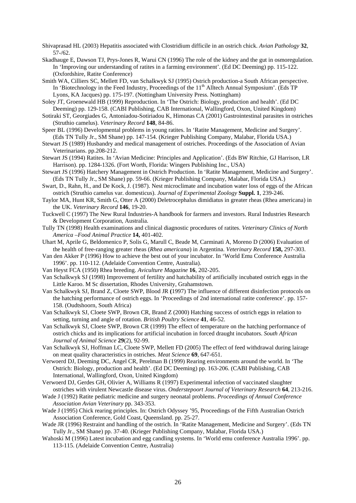Shivaprasad HL (2003) Hepatitis associated with Clostridium difficile in an ostrich chick. *Avian Pathology* **32**, 57-/62.

Skadhauge E, Dawson TJ, Prys-Jones R, Warui CN (1996) The role of the kidney and the gut in osmoregulation. In 'Improving our understanding of ratites in a farming environment'. (Ed DC Deeming) pp. 115-122. (Oxfordshire, Ratite Conference)

Smith WA, Cilliers SC, Mellett FD, van Schalkwyk SJ (1995) Ostrich production-a South African perspective. In 'Biotechnology in the Feed Industry, Proceedings of the 11<sup>th</sup> Alltech Annual Symposium'. (Eds TP Lyons, KA Jacques) pp. 175-197. (Nottingham University Press. Nottingham)

Soley JT, Groenewald HB (1999) Reproduction. In 'The Ostrich: Biology, production and health'. (Ed DC Deeming) pp. 129-158. (CABI Publishing, CAB International, Wallingford, Oxon, United Kingdom)

- Sotiraki ST, Georgiades G, Antoniadou-Sotiriadou K, Himonas CA (2001) Gastrointestinal parasites in ostriches (Struthio camelus). *Veterinary Record* **148**, 84-86.
- Speer BL (1996) Developmental problems in young ratites. In 'Ratite Management, Medicine and Surgery'. (Eds TN Tully Jr., SM Shane) pp. 147-154. (Krieger Publishing Company, Malabar, Florida USA.)
- Stewart JS (1989) Husbandry and medical management of ostriches. Proceedings of the Association of Avian Veterinarians. pp.208-212.
- Stewart JS (1994) Ratites. In 'Avian Medicine: Principles and Application'. (Eds BW Ritchie, GJ Harrison, LR Harrison). pp. 1284-1326. (Fort Worth, Florida: Wingers Publishing Inc., USA)
- Stewart JS (1996) Hatchery Management in Ostrich Production. In 'Ratite Management, Medicine and Surgery'. (Eds TN Tully Jr., SM Shane) pp. 59-66. (Krieger Publishing Company, Malabar, Florida USA.)
- Swart, D., Rahn, H., and De Kock, J. (1987). Nest microclimate and incubation water loss of eggs of the African ostrich (Struthio camelus var. domesticus). *Journal of Experimental Zoology* **Suppl. 1**, 239-246.
- Taylor MA, Hunt KR, Smith G, Otter A (2000) Deletrocephalus dimidiatus in greater rheas (Rhea americana) in the UK. *Veterinary Record* **146**, 19-20.
- Tuckwell C (1997) The New Rural Industries-A handbook for farmers and investors. Rural Industries Research & Development Corporation, Australia.
- Tully TN (1998) Health examinations and clinical diagnostic procedures of ratites. *Veterinary Clinics of North America –Food Animal Practice* **14,** 401-402.
- Uhart M, Aprile G, Beldomenico P, Solis G, Marull C, Beade M, Carminati A, Moreno D (2006) Evaluation of the health of free-ranging greater rheas (*Rhea americana*) in Argentina. *Veterinary Record* **158,** 297-303.
- Van den Akker P (1996) How to achieve the best out of your incubator. In 'World Emu Conference Australia 1996'. pp. 110-112. (Adelaide Convention Centre, Australia).
- Van Heyst FCA (1950) Rhea breeding. *Aviculture Magazine* **16**, 202-205.
- Van Schalkwyk SJ (1998) Improvement of fertility and hatchability of artificially incubated ostrich eggs in the Little Karoo. M Sc dissertation, Rhodes University, Grahamstown.
- Van Schalkwyk SJ, Brand Z, Cloete SWP, Blood JR **(**1997) The influence of different disinfection protocols on the hatching performance of ostrich eggs. In 'Proceedings of 2nd international ratite conference'. pp. 157- 158. (Oudtshoorn, South Africa)
- Van Schalkwyk SJ, Cloete SWP, Brown CR, Brand Z (2000) Hatching success of ostrich eggs in relation to setting, turning and angle of rotation. *British Poultry Science* **41**, 46-52.
- Van Schalkwyk SJ, Cloete SWP, Brown CR (1999) The effect of temperature on the hatching performance of ostrich chicks and its implications for artificial incubation in forced draught incubators. *South African Journal of Animal Science* **29**(2), 92-99.
- Van Schalkwyk SJ, Hoffman LC, Cloete SWP, Mellett FD (2005) The effect of feed withdrawal during lairage on meat quality characteristics in ostriches. *Meat Science* **69**, 647-651.
- Verwoerd DJ, Deeming DC, Angel CR, Perelman B (1999) Rearing environments around the world. In 'The Ostrich: Biology, production and health'. (Ed DC Deeming) pp. 163-206. (CABI Publishing, CAB International, Wallingford, Oxon, United Kingdom)
- Verwoerd DJ, Gerdes GH, Olivier A, Williams R (1997) Experimental infection of vaccinated slaughter ostriches with virulent Newcastle disease virus. *Onderstepoort Journal of Veterinary Research* **64**, 213-216.
- Wade J (1992) Ratite pediatric medicine and surgery neonatal problems. *Proceedings of Annual Conference Association Avian Veterinary* pp. 343-353.
- Wade J (1995) Chick rearing principles. In: Ostrich Odyssey '95, Proceedings of the Fifth Australian Ostrich Association Conference, Gold Coast, Queensland. pp. 25-27.
- Wade JR (1996) Restraint and handling of the ostrich. In 'Ratite Management, Medicine and Surgery'. (Eds TN Tully Jr., SM Shane) pp. 37-40. (Krieger Publishing Company, Malabar, Florida USA.)
- Wahoski M (1996) Latest incubation and egg candling systems. In 'World emu conference Australia 1996'. pp. 113-115. (Adelaide Convention Centre, Australia)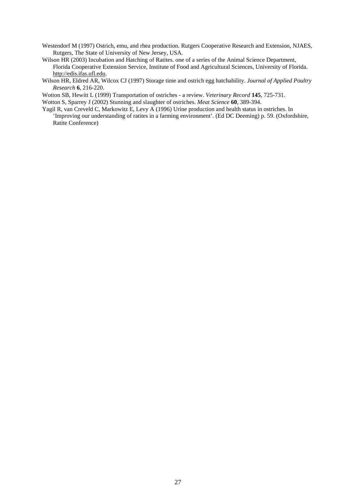- Westendorf M (1997) Ostrich, emu, and rhea production. Rutgers Cooperative Research and Extension, NJAES, Rutgers, The State of University of New Jersey, USA.
- Wilson HR (2003) Incubation and Hatching of Ratites. one of a series of the Animal Science Department, Florida Cooperative Extension Service, Institute of Food and Agricultural Sciences, University of Florida. http://edis.ifas.ufl.edu.
- Wilson HR, Eldred AR, Wilcox CJ (1997) Storage time and ostrich egg hatchability. *Journal of Applied Poultry Research* **6**, 216-220.

Wotton SB, Hewitt L (1999) Transportation of ostriches - a review. *Veterinary Record* **145**, 725-731.

Wotton S, Sparrey J (2002) Stunning and slaughter of ostriches. *Meat Science* **60**, 389-394.

Yagil R, van Creveld C, Markowitz E, Levy A (1996) Urine production and health status in ostriches. In 'Improving our understanding of ratites in a farming environment'. (Ed DC Deeming) p. 59. (Oxfordshire, Ratite Conference)